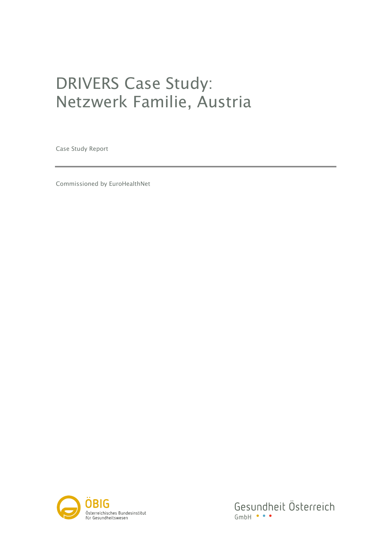# DRIVERS Case Study: Netzwerk Familie, Austria

Case Study Report

Commissioned by EuroHealthNet



Gesundheit Österreich  $GmbH \bullet \bullet \bullet$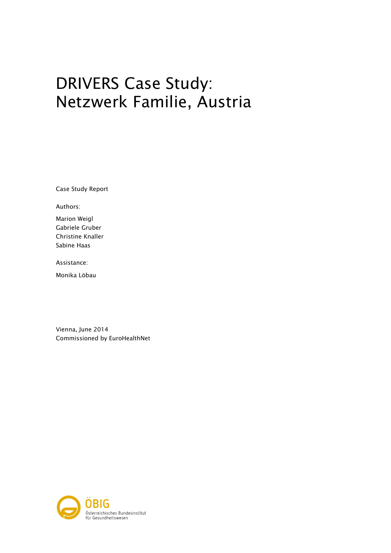# DRIVERS Case Study: Netzwerk Familie, Austria

Case Study Report

Authors:

Marion Weigl Gabriele Gruber Christine Knaller Sabine Haas

Assistance:

Monika Löbau

Vienna, June 2014 Commissioned by EuroHealthNet

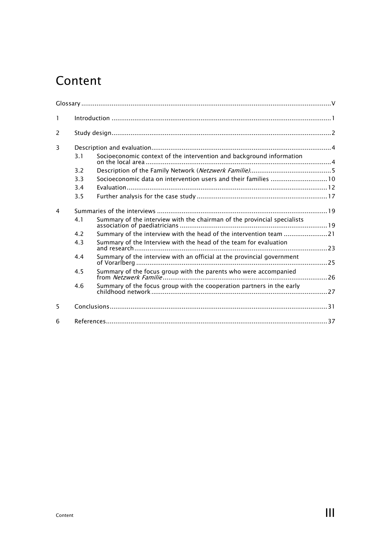## Content

| $\mathbf{1}$   |     |                                                                          |  |  |  |  |
|----------------|-----|--------------------------------------------------------------------------|--|--|--|--|
| 2              |     |                                                                          |  |  |  |  |
| $\overline{3}$ |     |                                                                          |  |  |  |  |
|                | 3.1 | Socioeconomic context of the intervention and background information     |  |  |  |  |
|                | 3.2 |                                                                          |  |  |  |  |
|                | 3.3 | Socioeconomic data on intervention users and their families 10           |  |  |  |  |
|                | 3.4 |                                                                          |  |  |  |  |
|                | 3.5 |                                                                          |  |  |  |  |
| $\overline{4}$ |     |                                                                          |  |  |  |  |
|                | 4.1 | Summary of the interview with the chairman of the provincial specialists |  |  |  |  |
|                | 4.7 | Summary of the interview with the head of the intervention team 21       |  |  |  |  |
|                | 4.3 | Summary of the Interview with the head of the team for evaluation        |  |  |  |  |
|                | 4.4 | Summary of the interview with an official at the provincial government   |  |  |  |  |
|                | 4.5 | Summary of the focus group with the parents who were accompanied         |  |  |  |  |
|                | 4.6 | Summary of the focus group with the cooperation partners in the early    |  |  |  |  |
| 5              |     |                                                                          |  |  |  |  |
| 6              |     |                                                                          |  |  |  |  |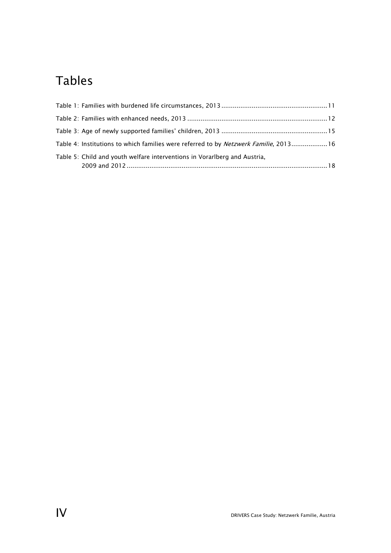## Tables

| Table 4: Institutions to which families were referred to by <i>Netzwerk Familie</i> , 201316 |  |
|----------------------------------------------------------------------------------------------|--|
| Table 5: Child and youth welfare interventions in Vorarlberg and Austria,                    |  |
|                                                                                              |  |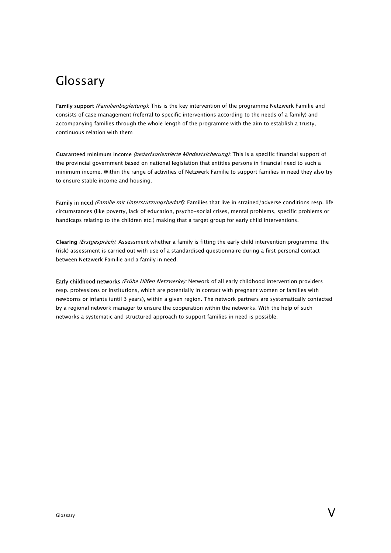## Glossary

Family support (Familienbegleitung): This is the key intervention of the programme Netzwerk Familie and consists of case management (referral to specific interventions according to the needs of a family) and accompanying families through the whole length of the programme with the aim to establish a trusty, continuous relation with them

Guaranteed minimum income (bedarfsorientierte Mindestsicherung): This is a specific financial support of the provincial government based on national legislation that entitles persons in financial need to such a minimum income. Within the range of activities of Netzwerk Familie to support families in need they also try to ensure stable income and housing.

Family in need (Familie mit Unterstützungsbedarf): Families that live in strained/adverse conditions resp. life circumstances (like poverty, lack of education, psycho-social crises, mental problems, specific problems or handicaps relating to the children etc.) making that a target group for early child interventions.

Clearing (Erstgespräch): Assessment whether a family is fitting the early child intervention programme; the (risk) assessment is carried out with use of a standardised questionnaire during a first personal contact between Netzwerk Familie and a family in need.

Early childhood networks (Frühe Hilfen Netzwerke): Network of all early childhood intervention providers resp. professions or institutions, which are potentially in contact with pregnant women or families with newborns or infants (until 3 years), within a given region. The network partners are systematically contacted by a regional network manager to ensure the cooperation within the networks. With the help of such networks a systematic and structured approach to support families in need is possible.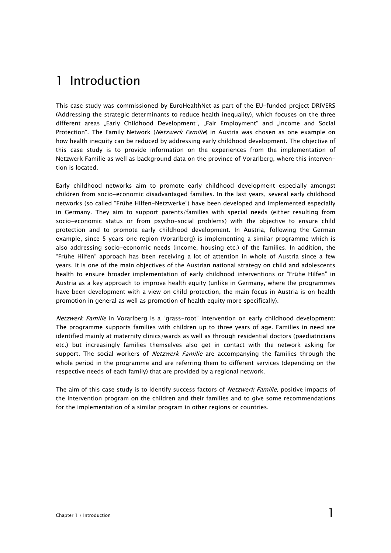## 1 Introduction

This case study was commissioned by EuroHealthNet as part of the EU-funded project DRIVERS (Addressing the strategic determinants to reduce health inequality), which focuses on the three different areas "Early Childhood Development", "Fair Employment" and "Income and Social Protection". The Family Network (Netzwerk Familie) in Austria was chosen as one example on how health inequity can be reduced by addressing early childhood development. The objective of this case study is to provide information on the experiences from the implementation of Netzwerk Familie as well as background data on the province of Vorarlberg, where this intervention is located.

Early childhood networks aim to promote early childhood development especially amongst children from socio-economic disadvantaged families. In the last years, several early childhood networks (so called "Frühe Hilfen-Netzwerke") have been developed and implemented especially in Germany. They aim to support parents/families with special needs (either resulting from socio-economic status or from psycho-social problems) with the objective to ensure child protection and to promote early childhood development. In Austria, following the German example, since 5 years one region (Vorarlberg) is implementing a similar programme which is also addressing socio-economic needs (income, housing etc.) of the families. In addition, the "Frühe Hilfen" approach has been receiving a lot of attention in whole of Austria since a few years. It is one of the main objectives of the Austrian national strategy on child and adolescents health to ensure broader implementation of early childhood interventions or "Frühe Hilfen" in Austria as a key approach to improve health equity (unlike in Germany, where the programmes have been development with a view on child protection, the main focus in Austria is on health promotion in general as well as promotion of health equity more specifically).

Netzwerk Familie in Vorarlberg is a "grass-root" intervention on early childhood development: The programme supports families with children up to three years of age. Families in need are identified mainly at maternity clinics/wards as well as through residential doctors (paediatricians etc.) but increasingly families themselves also get in contact with the network asking for support. The social workers of *Netzwerk Familie* are accompanying the families through the whole period in the programme and are referring them to different services (depending on the respective needs of each family) that are provided by a regional network.

The aim of this case study is to identify success factors of Netzwerk Familie, positive impacts of the intervention program on the children and their families and to give some recommendations for the implementation of a similar program in other regions or countries.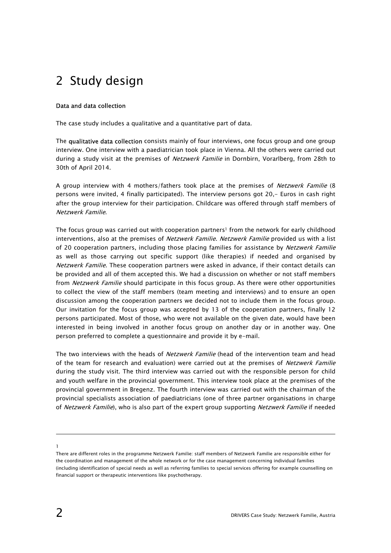## 2 Study design

#### Data and data collection

The case study includes a qualitative and a quantitative part of data.

The **qualitative data collection** consists mainly of four interviews, one focus group and one group interview. One interview with a paediatrician took place in Vienna. All the others were carried out during a study visit at the premises of *Netzwerk Familie* in Dornbirn, Vorarlberg, from 28th to 30th of April 2014.

A group interview with 4 mothers/fathers took place at the premises of Netzwerk Familie (8 persons were invited, 4 finally participated). The interview persons got 20,- Euros in cash right after the group interview for their participation. Childcare was offered through staff members of Netzwerk Familie.

The focus group was carried out with cooperation partners<sup>1</sup> from the network for early childhood interventions, also at the premises of Netzwerk Familie. Netzwerk Familie provided us with a list of 20 cooperation partners, including those placing families for assistance by Netzwerk Familie as well as those carrying out specific support (like therapies) if needed and organised by Netzwerk Familie. These cooperation partners were asked in advance, if their contact details can be provided and all of them accepted this. We had a discussion on whether or not staff members from Netzwerk Familie should participate in this focus group. As there were other opportunities to collect the view of the staff members (team meeting and interviews) and to ensure an open discussion among the cooperation partners we decided not to include them in the focus group. Our invitation for the focus group was accepted by 13 of the cooperation partners, finally 12 persons participated. Most of those, who were not available on the given date, would have been interested in being involved in another focus group on another day or in another way. One person preferred to complete a questionnaire and provide it by e-mail.

The two interviews with the heads of *Netzwerk Familie* (head of the intervention team and head of the team for research and evaluation) were carried out at the premises of Netzwerk Familie during the study visit. The third interview was carried out with the responsible person for child and youth welfare in the provincial government. This interview took place at the premises of the provincial government in Bregenz. The fourth interview was carried out with the chairman of the provincial specialists association of paediatricians (one of three partner organisations in charge of Netzwerk Familie), who is also part of the expert group supporting Netzwerk Familie if needed

-1

There are different roles in the programme Netzwerk Familie: staff members of Netzwerk Familie are responsible either for the coordination and management of the whole network or for the case management concerning individual families (including identification of special needs as well as referring families to special services offering for example counselling on financial support or therapeutic interventions like psychotherapy.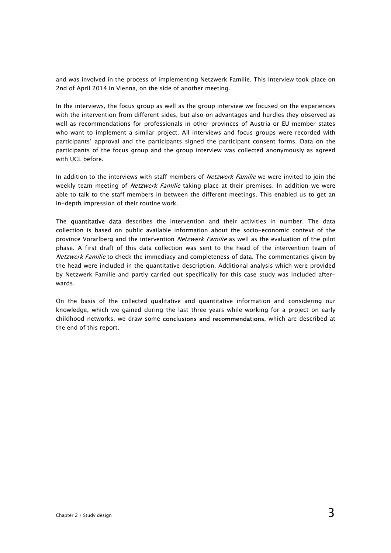and was involved in the process of implementing Netzwerk Familie. This interview took place on 2nd of April 2014 in Vienna, on the side of another meeting.

In the interviews, the focus group as well as the group interview we focused on the experiences with the intervention from different sides, but also on advantages and hurdles they observed as well as recommendations for professionals in other provinces of Austria or EU member states who want to implement a similar project. All interviews and focus groups were recorded with participants' approval and the participants signed the participant consent forms. Data on the participants of the focus group and the group interview was collected anonymously as agreed with UCL before.

In addition to the interviews with staff members of Netzwerk Familie we were invited to join the weekly team meeting of *Netzwerk Familie* taking place at their premises. In addition we were able to talk to the staff members in between the different meetings. This enabled us to get an in-depth impression of their routine work.

The quantitative data describes the intervention and their activities in number. The data collection is based on public available information about the socio-economic context of the province Vorarlberg and the intervention *Netzwerk Familie* as well as the evaluation of the pilot phase. A first draft of this data collection was sent to the head of the intervention team of Netzwerk Familie to check the immediacy and completeness of data. The commentaries given by the head were included in the quantitative description. Additional analysis which were provided by Netzwerk Familie and partly carried out specifically for this case study was included afterwards.

On the basis of the collected qualitative and quantitative information and considering our knowledge, which we gained during the last three years while working for a project on early childhood networks, we draw some conclusions and recommendations, which are described at the end of this report.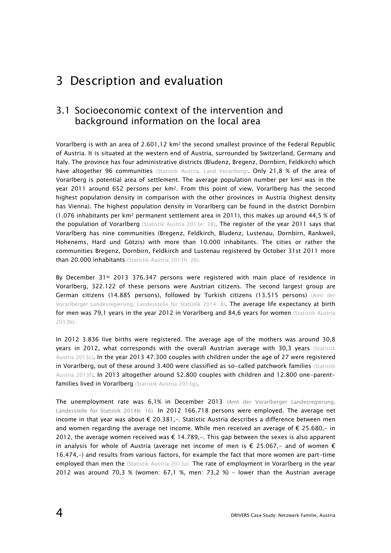## 3 Description and evaluation

### 3.1 Socioeconomic context of the intervention and background information on the local area

Vorarlberg is with an area of 2.601,12 km2 the second smallest province of the Federal Republic of Austria. It is situated at the western end of Austria, surrounded by Switzerland, Germany and Italy. The province has four administrative districts (Bludenz, Bregenz, Dornbirn, Feldkirch) which have altogether 96 communities (Statistik Austria, Land Vorarlberg). Only 21,8 % of the area of Vorarlberg is potential area of settlement. The average population number per km2 was in the year 2011 around 652 persons per km2. From this point of view, Vorarlberg has the second highest population density in comparison with the other provinces in Austria (highest density has Vienna). The highest population density in Vorarlberg can be found in the district Dornbirn (1.076 inhabitants per km2 permanent settlement area in 2011), this makes up around 44,5 % of the population of Vorarlberg (Statistik Austria 2013e: 38). The register of the year 2011 says that Vorarlberg has nine communities (Bregenz, Feldkirch, Bludenz, Lustenau, Dornbirn, Rankweil, Hohenems, Hard und Götzis) with more than 10.000 inhabitants. The cities or rather the communities Bregenz, Dornbirn, Feldkirch and Lustenau registered by October 31st 2011 more than 20.000 inhabitants (Statistik Austria 2013h: 26).

By December 31st 2013 376.347 persons were registered with main place of residence in Vorarlberg, 322.122 of these persons were Austrian citizens. The second largest group are German citizens (14.885 persons), followed by Turkish citizens (13.515 persons) (Amt der Vorarlberger Landesregierung, Landesstelle für Statistik 2014: 8). The average life expectancy at birth for men was 79,1 years in the year 2012 in Vorarlberg and 84,6 years for women (Statistik Austria 2013b).

In 2012 3.836 live births were registered. The average age of the mothers was around 30,8 years in 2012, what corresponds with the overall Austrian average with 30,3 years (Statistik Austria 2013c). In the year 2013 47.300 couples with children under the age of 27 were registered in Vorarlberg, out of these around 3.400 were classified as so-called patchwork families (Statistik Austria 2013f). In 2013 altogether around 52.800 couples with children and 12.800 one-parentfamilies lived in Vorarlberg (Statistik Austria 2013g).

The unemployment rate was 6,1% in December 2013 (Amt der Vorarlberger Landesregierung, Landesstelle für Statistik 2014b: 16). In 2012 166.718 persons were employed. The average net income in that year was about € 20.381,-. Statistic Austria describes a difference between men and women regarding the average net income. While men received an average of  $\epsilon$  25.680,- in 2012, the average women received was  $\epsilon$  14.789, $-$ . This gap between the sexes is also apparent in analysis for whole of Austria (average net income of men is  $\epsilon$  25.067,- and of women  $\epsilon$ 16.474,-) and results from various factors, for example the fact that more women are part-time employed than men the (Statistik Austria 2013a). The rate of employment in Vorarlberg in the year 2012 was around 70,3 % (women: 67,1 %, men: 73,2 %) – lower than the Austrian average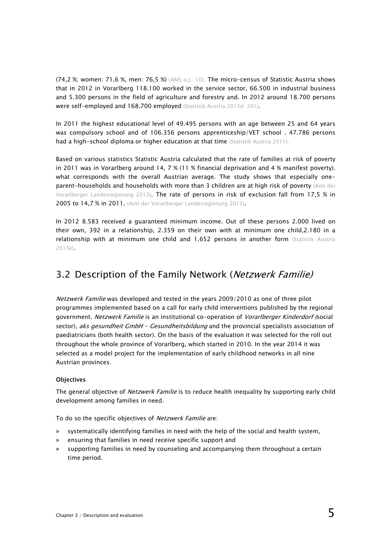(74,2 %; women: 71,6 %, men: 76,5 %) (AMS o.J.: 10). The micro-census of Statistic Austria shows that in 2012 in Vorarlberg 118.100 worked in the service sector, 66.500 in industrial business and 5.300 persons in the field of agriculture and forestry and. In 2012 around 18.700 persons were self-employed and 168.700 employed (Statistik Austria 2013d: 201).

In 2011 the highest educational level of 49.495 persons with an age between 25 and 64 years was compulsory school and of 106.356 persons apprenticeship/VET school . 47.786 persons had a high-school diploma or higher education at that time (Statistik Austria 2011).

Based on various statistics Statistic Austria calculated that the rate of families at risk of poverty in 2011 was in Vorarlberg around 14, 7 % (11 % financial deprivation and 4 % manifest poverty). what corresponds with the overall Austrian average. The study shows that especially oneparent-households and households with more than 3 children are at high risk of poverty (Amt der Vorarlberger Landesregierung 2013). The rate of persons in risk of exclusion fall from 17,5 % in 2005 to 14,7 % in 2011. (Amt der Vorarlberger Landesregierung 2013).

In 2012 8.583 received a guaranteed minimum income. Out of these persons 2.000 lived on their own, 392 in a relationship, 2.359 on their own with at minimum one child,2.180 in a relationship with at minimum one child and 1.652 persons in another form (Statistik Austria 2013e).

## 3.2 Description of the Family Network (Netzwerk Familie)

Netzwerk Familie was developed and tested in the years 2009/2010 as one of three pilot programmes implemented based on a call for early child interventions published by the regional government. Netzwerk Familie is an institutional co-operation of Vorarlberger Kinderdorf (social sector), aks gesundheit GmbH - Gesundheitsbildung and the provincial specialists association of paediatricians (both health sector). On the basis of the evaluation it was selected for the roll out throughout the whole province of Vorarlberg, which started in 2010. In the year 2014 it was selected as a model project for the implementation of early childhood networks in all nine Austrian provinces.

#### **Objectives**

The general objective of Netzwerk Familie is to reduce health inequality by supporting early child development among families in need.

To do so the specific objectives of Netzwerk Familie are:

- » systematically identifying families in need with the help of the social and health system,
- » ensuring that families in need receive specific support and
- » supporting families in need by counseling and accompanying them throughout a certain time period.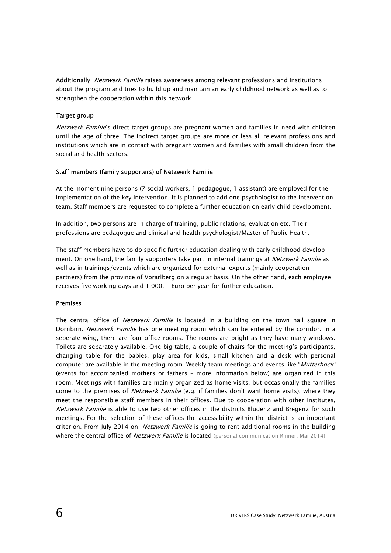Additionally, *Netzwerk Familie* raises awareness among relevant professions and institutions about the program and tries to build up and maintain an early childhood network as well as to strengthen the cooperation within this network.

#### Target group

Netzwerk Familie's direct target groups are pregnant women and families in need with children until the age of three. The indirect target groups are more or less all relevant professions and institutions which are in contact with pregnant women and families with small children from the social and health sectors.

#### Staff members (family supporters) of Netzwerk Familie

At the moment nine persons (7 social workers, 1 pedagogue, 1 assistant) are employed for the implementation of the key intervention. It is planned to add one psychologist to the intervention team. Staff members are requested to complete a further education on early child development.

In addition, two persons are in charge of training, public relations, evaluation etc. Their professions are pedagogue and clinical and health psychologist/Master of Public Health.

The staff members have to do specific further education dealing with early childhood development. On one hand, the family supporters take part in internal trainings at Netzwerk Familie as well as in trainings/events which are organized for external experts (mainly cooperation partners) from the province of Vorarlberg on a regular basis. On the other hand, each employee receives five working days and 1 000. - Euro per year for further education.

#### Premises

The central office of *Netzwerk Familie* is located in a building on the town hall square in Dornbirn. Netzwerk Familie has one meeting room which can be entered by the corridor. In a seperate wing, there are four office rooms. The rooms are bright as they have many windows. Toilets are separately available. One big table, a couple of chairs for the meeting's participants, changing table for the babies, play area for kids, small kitchen and a desk with personal computer are available in the meeting room. Weekly team meetings and events like "*Mütterhock"* (events for accompanied mothers or fathers – more information below) are organized in this room. Meetings with families are mainly organized as home visits, but occasionally the families come to the premises of Netzwerk Familie (e.g. if families don't want home visits), where they meet the responsible staff members in their offices. Due to cooperation with other institutes, Netzwerk Familie is able to use two other offices in the districts Bludenz and Bregenz for such meetings. For the selection of these offices the accessibility within the district is an important criterion. From July 2014 on, Netzwerk Familie is going to rent additional rooms in the building where the central office of *Netzwerk Familie* is located (personal communication Rinner, Mai 2014).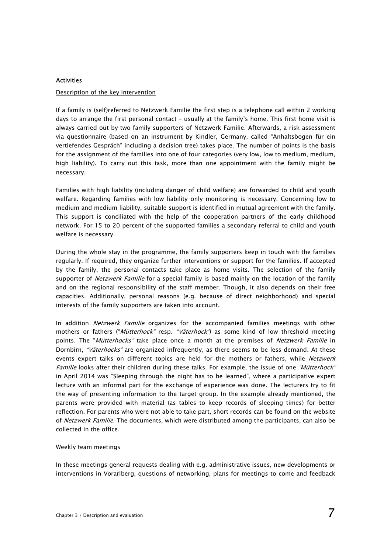#### Activities

#### Description of the key intervention

If a family is (self)referred to Netzwerk Familie the first step is a telephone call within 2 working days to arrange the first personal contact – usually at the family's home. This first home visit is always carried out by two family supporters of Netzwerk Familie. Afterwards, a risk assessment via questionnaire (based on an instrument by Kindler, Germany, called "Anhaltsbogen für ein vertiefendes Gespräch" including a decision tree) takes place. The number of points is the basis for the assignment of the families into one of four categories (very low, low to medium, medium, high liability). To carry out this task, more than one appointment with the family might be necessary.

Families with high liability (including danger of child welfare) are forwarded to child and youth welfare. Regarding families with low liability only monitoring is necessary. Concerning low to medium and medium liability, suitable support is identified in mutual agreement with the family. This support is conciliated with the help of the cooperation partners of the early childhood network. For 15 to 20 percent of the supported families a secondary referral to child and youth welfare is necessary.

During the whole stay in the programme, the family supporters keep in touch with the families regularly. If required, they organize further interventions or support for the families. If accepted by the family, the personal contacts take place as home visits. The selection of the family supporter of *Netzwerk Familie* for a special family is based mainly on the location of the family and on the regional responsibility of the staff member. Though, it also depends on their free capacities. Additionally, personal reasons (e.g. because of direct neighborhood) and special interests of the family supporters are taken into account.

In addition Netzwerk Familie organizes for the accompanied families meetings with other mothers or fathers ("*Mütterhock"* resp. "Väterhock") as some kind of low threshold meeting points. The "Mütterhocks" take place once a month at the premises of Netzwerk Familie in Dornbirn, "Väterhocks" are organized infrequently, as there seems to be less demand. At these events expert talks on different topics are held for the mothers or fathers, while Netzwerk Familie looks after their children during these talks. For example, the issue of one "Mütterhock" in April 2014 was "Sleeping through the night has to be learned", where a participative expert lecture with an informal part for the exchange of experience was done. The lecturers try to fit the way of presenting information to the target group. In the example already mentioned, the parents were provided with material (as tables to keep records of sleeping times) for better reflection. For parents who were not able to take part, short records can be found on the website of Netzwerk Familie. The documents, which were distributed among the participants, can also be collected in the office.

#### Weekly team meetings

In these meetings general requests dealing with e.g. administrative issues, new developments or interventions in Vorarlberg, questions of networking, plans for meetings to come and feedback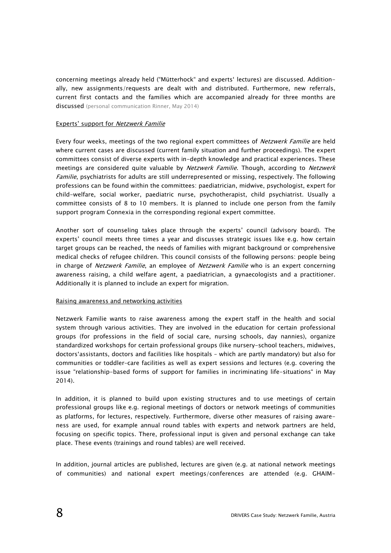concerning meetings already held ("Mütterhock" and experts' lectures) are discussed. Additionally, new assignments/requests are dealt with and distributed. Furthermore, new referrals, current first contacts and the families which are accompanied already for three months are discussed (personal communication Rinner, May 2014)

#### Experts' support for Netzwerk Familie

Every four weeks, meetings of the two regional expert committees of Netzwerk Familie are held where current cases are discussed (current family situation and further proceedings). The expert committees consist of diverse experts with in-depth knowledge and practical experiences. These meetings are considered quite valuable by Netzwerk Familie. Though, according to Netzwerk Familie, psychiatrists for adults are still underrepresented or missing, respectively. The following professions can be found within the committees: paediatrician, midwive, psychologist, expert for child-welfare, social worker, paediatric nurse, psychotherapist, child psychiatrist. Usually a committee consists of 8 to 10 members. It is planned to include one person from the family support program Connexia in the corresponding regional expert committee.

Another sort of counseling takes place through the experts' council (advisory board). The experts' council meets three times a year and discusses strategic issues like e.g. how certain target groups can be reached, the needs of families with migrant background or comprehensive medical checks of refugee children. This council consists of the following persons: people being in charge of Netzwerk Familie, an employee of Netzwerk Familie who is an expert concerning awareness raising, a child welfare agent, a paediatrician, a gynaecologists and a practitioner. Additionally it is planned to include an expert for migration.

#### Raising awareness and networking activities

Netzwerk Familie wants to raise awareness among the expert staff in the health and social system through various activities. They are involved in the education for certain professional groups (for professions in the field of social care, nursing schools, day nannies), organize standardized workshops for certain professional groups (like nursery-school teachers, midwives, doctors'assistants, doctors and facilities like hospitals – which are partly mandatory) but also for communities or toddler–care facilities as well as expert sessions and lectures (e.g. covering the issue "relationship-based forms of support for families in incriminating life-situations" in May 2014).

In addition, it is planned to build upon existing structures and to use meetings of certain professional groups like e.g. regional meetings of doctors or network meetings of communities as platforms, for lectures, respectively. Furthermore, diverse other measures of raising awareness are used, for example annual round tables with experts and network partners are held, focusing on specific topics. There, professional input is given and personal exchange can take place. These events (trainings and round tables) are well received.

In addition, journal articles are published, lectures are given (e.g. at national network meetings of communities) and national expert meetings/conferences are attended (e.g. GHAIM-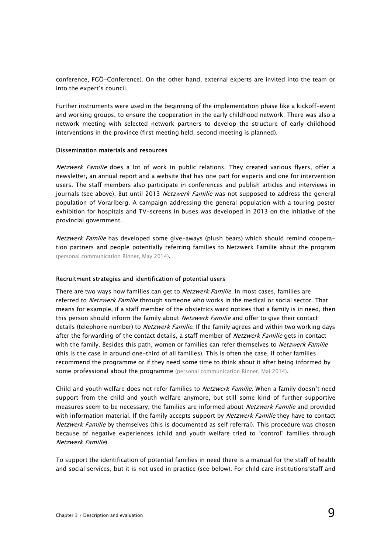conference, FGÖ-Conference). On the other hand, external experts are invited into the team or into the expert's council.

Further instruments were used in the beginning of the implementation phase like a kickoff-event and working groups, to ensure the cooperation in the early childhood network. There was also a network meeting with selected network partners to develop the structure of early childhood interventions in the province (first meeting held, second meeting is planned).

#### Dissemination materials and resources

Netzwerk Familie does a lot of work in public relations. They created various flyers, offer a newsletter, an annual report and a website that has one part for experts and one for intervention users. The staff members also participate in conferences and publish articles and interviews in journals (see above). But until 2013 Netzwerk Familie was not supposed to address the general population of Vorarlberg. A campaign addressing the general population with a touring poster exhibition for hospitals and TV-screens in buses was developed in 2013 on the initiative of the provincial government.

Netzwerk Familie has developed some give-aways (plush bears) which should remind cooperation partners and people potentially referring families to Netzwerk Familie about the program (personal communication Rinner, May 2014).

#### Recruitment strategies and identification of potential users

There are two ways how families can get to *Netzwerk Familie*. In most cases, families are referred to *Netzwerk Familie* through someone who works in the medical or social sector. That means for example, if a staff member of the obstetrics ward notices that a family is in need, then this person should inform the family about Netzwerk Familie and offer to give their contact details (telephone number) to *Netzwerk Familie*. If the family agrees and within two working days after the forwarding of the contact details, a staff member of *Netzwerk Familie* gets in contact with the family. Besides this path, women or families can refer themselves to Netzwerk Familie (this is the case in around one-third of all families). This is often the case, if other families recommend the programme or if they need some time to think about it after being informed by some professional about the programme (personal communication Rinner, Mai 2014).

Child and youth welfare does not refer families to *Netzwerk Familie*. When a family doesn't need support from the child and youth welfare anymore, but still some kind of further supportive measures seem to be necessary, the families are informed about *Netzwerk Familie* and provided with information material. If the family accepts support by *Netzwerk Familie* they have to contact Netzwerk Familie by themselves (this is documented as self referral). This procedure was chosen because of negative experiences (child and youth welfare tried to "control" families through Netzwerk Familie).

To support the identification of potential families in need there is a manual for the staff of health and social services, but it is not used in practice (see below). For child care institutions'staff and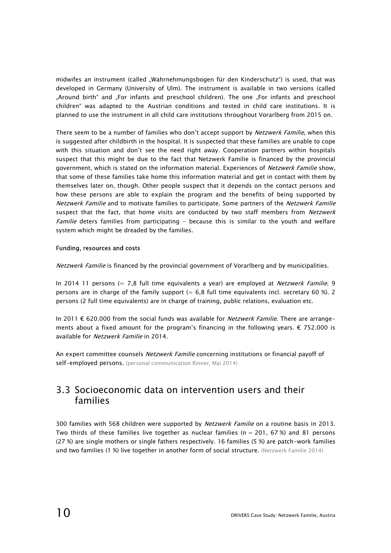midwifes an instrument (called "Wahrnehmungsbogen für den Kinderschutz") is used, that was developed in Germany (University of Ulm). The instrument is available in two versions (called "Around birth" and "For infants and preschool children). The one "For infants and preschool children" was adapted to the Austrian conditions and tested in child care institutions. It is planned to use the instrument in all child care institutions throughout Vorarlberg from 2015 on.

There seem to be a number of families who don't accept support by Netzwerk Familie, when this is suggested after childbirth in the hospital. It is suspected that these families are unable to cope with this situation and don't see the need right away. Cooperation partners within hospitals suspect that this might be due to the fact that Netzwerk Familie is financed by the provincial government, which is stated on the information material. Experiences of Netzwerk Familie show, that some of these families take home this information material and get in contact with them by themselves later on, though. Other people suspect that it depends on the contact persons and how these persons are able to explain the program and the benefits of being supported by Netzwerk Familie and to motivate families to participate. Some partners of the Netzwerk Familie suspect that the fact, that home visits are conducted by two staff members from Netzwerk Familie deters families from participating - because this is similar to the youth and welfare system which might be dreaded by the families.

#### Funding, resources and costs

Netzwerk Familie is financed by the provincial government of Vorarlberg and by municipalities.

In 2014 11 persons (= 7,8 full time equivalents a year) are employed at Netzwerk Familie. 9 persons are in charge of the family support  $(= 6.8 \text{ full time equivalents incl. secretary } 60 \text{ %}).$  2 persons (2 full time equivalents) are in charge of training, public relations, evaluation etc.

In 2011 € 620.000 from the social funds was available for *Netzwerk Familie*. There are arrangements about a fixed amount for the program's financing in the following years. € 752.000 is available for Netzwerk Familie in 2014.

An expert committee counsels Netzwerk Familie concerning institutions or financial payoff of self-employed persons. (personal communication Rinner, Mai 2014)

### 3.3 Socioeconomic data on intervention users and their families

300 families with 568 children were supported by *Netzwerk Familie* on a routine basis in 2013. Two thirds of these families live together as nuclear families ( $n = 201, 67$ %) and 81 persons (27 %) are single mothers or single fathers respectively. 16 families (5 %) are patch-work families und two families (1 %) live together in another form of social structure. (Netzwerk Familie 2014)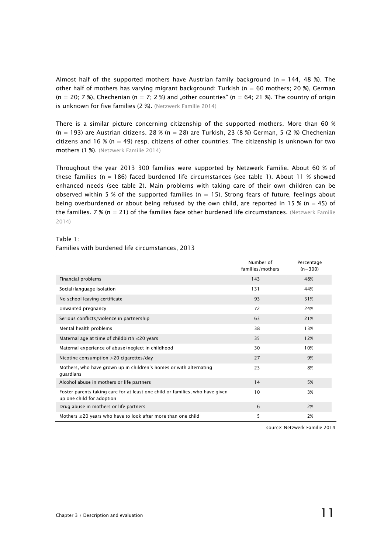Almost half of the supported mothers have Austrian family background ( $n = 144$ , 48 %). The other half of mothers has varying migrant background: Turkish ( $n = 60$  mothers; 20 %), German  $(n = 20; 7%)$ , Chechenian  $(n = 7; 2%)$  and "other countries"  $(n = 64; 21%)$ . The country of origin is unknown for five families (2 %). (Netzwerk Familie 2014)

There is a similar picture concerning citizenship of the supported mothers. More than 60 %  $(n = 193)$  are Austrian citizens. 28 %  $(n = 28)$  are Turkish, 23 (8 %) German, 5 (2 %) Chechenian citizens and 16 % ( $n = 49$ ) resp. citizens of other countries. The citizenship is unknown for two mothers (1 %). (Netzwerk Familie 2014)

Throughout the year 2013 300 families were supported by Netzwerk Familie. About 60 % of these families ( $n = 186$ ) faced burdened life circumstances (see table 1). About 11 % showed enhanced needs (see table 2). Main problems with taking care of their own children can be observed within 5 % of the supported families ( $n = 15$ ). Strong fears of future, feelings about being overburdened or about being refused by the own child, are reported in 15 % (n = 45) of the families.  $7\%$  (n = 21) of the families face other burdened life circumstances. (Netzwerk Familie 2014)

#### Table 1:

|                                                                                                            | Number of<br>families/mothers | Percentage<br>$(n=300)$ |
|------------------------------------------------------------------------------------------------------------|-------------------------------|-------------------------|
| Financial problems                                                                                         | 143                           | 48%                     |
| Social/language isolation                                                                                  | 131                           | 44%                     |
| No school leaving certificate                                                                              | 93                            | 31%                     |
| Unwanted pregnancy                                                                                         | 72                            | 24%                     |
| Serious conflicts/violence in partnership                                                                  | 63                            | 21%                     |
| Mental health problems                                                                                     | 38                            | 13%                     |
| Maternal age at time of childbirth $\leq$ 20 years                                                         | 35                            | 12%                     |
| Maternal experience of abuse/neglect in childhood                                                          | 30                            | 10%                     |
| Nicotine consumption >20 cigarettes/day                                                                    | 27                            | 9%                      |
| Mothers, who have grown up in children's homes or with alternating<br>guardians                            | 23                            | 8%                      |
| Alcohol abuse in mothers or life partners                                                                  | 14                            | 5%                      |
| Foster parents taking care for at least one child or families, who have given<br>up one child for adoption | 10                            | 3%                      |
| Drug abuse in mothers or life partners                                                                     | 6                             | 2%                      |
| Mothers $\leq$ 20 years who have to look after more than one child                                         | 5                             | 2%                      |

source: Netzwerk Familie 2014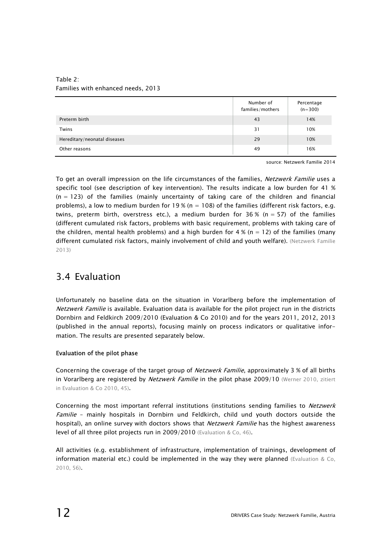|                              | Number of<br>families/mothers | Percentage<br>$(n=300)$ |
|------------------------------|-------------------------------|-------------------------|
| Preterm birth                | 43                            | 14%                     |
| Twins                        | 31                            | 10%                     |
| Hereditary/neonatal diseases | 29                            | 10%                     |
| Other reasons                | 49                            | 16%                     |

Table 2: Families with enhanced needs, 2013

source: Netzwerk Familie 2014

To get an overall impression on the life circumstances of the families, Netzwerk Familie uses a specific tool (see description of key intervention). The results indicate a low burden for 41 %  $(n = 123)$  of the families (mainly uncertainty of taking care of the children and financial problems), a low to medium burden for  $19\%$  (n = 108) of the families (different risk factors, e.g. twins, preterm birth, overstress etc.), a medium burden for  $36\%$  (n = 57) of the families (different cumulated risk factors, problems with basic requirement, problems with taking care of the children, mental health problems) and a high burden for  $4\%$  (n = 12) of the families (many different cumulated risk factors, mainly involvement of child and youth welfare). (Netzwerk Familie 2013)

## 3.4 Evaluation

Unfortunately no baseline data on the situation in Vorarlberg before the implementation of Netzwerk Familie is available. Evaluation data is available for the pilot project run in the districts Dornbirn and Feldkirch 2009/2010 (Evaluation & Co 2010) and for the years 2011, 2012, 2013 (published in the annual reports), focusing mainly on process indicators or qualitative information. The results are presented separately below.

#### Evaluation of the pilot phase

Concerning the coverage of the target group of *Netzwerk Familie*, approximately 3 % of all births in Vorarlberg are registered by Netzwerk Familie in the pilot phase 2009/10 (Werner 2010, zitiert in Evaluation & Co 2010, 45).

Concerning the most important referral institutions (institutions sending families to Netzwerk Familie - mainly hospitals in Dornbirn und Feldkirch, child und youth doctors outside the hospital), an online survey with doctors shows that *Netzwerk Familie* has the highest awareness level of all three pilot projects run in 2009/2010 (Evaluation & Co, 46).

All activities (e.g. establishment of infrastructure, implementation of trainings, development of information material etc.) could be implemented in the way they were planned (Evaluation & Co, 2010, 56).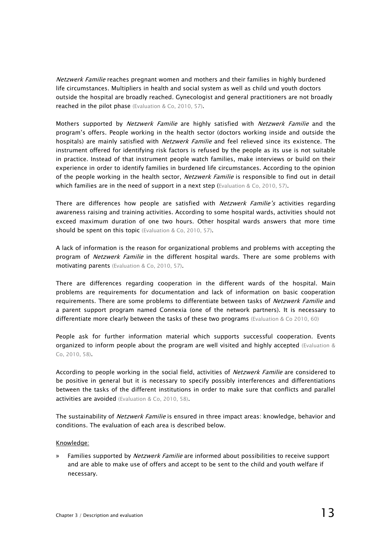Netzwerk Familie reaches pregnant women and mothers and their families in highly burdened life circumstances. Multipliers in health and social system as well as child und youth doctors outside the hospital are broadly reached. Gynecologist and general practitioners are not broadly reached in the pilot phase (Evaluation & Co, 2010, 57).

Mothers supported by Netzwerk Familie are highly satisfied with Netzwerk Familie and the program's offers. People working in the health sector (doctors working inside and outside the hospitals) are mainly satisfied with *Netzwerk Familie* and feel relieved since its existence. The instrument offered for identifying risk factors is refused by the people as its use is not suitable in practice. Instead of that instrument people watch families, make interviews or build on their experience in order to identify families in burdened life circumstances. According to the opinion of the people working in the health sector, Netzwerk Familie is responsible to find out in detail which families are in the need of support in a next step (Evaluation & Co, 2010, 57).

There are differences how people are satisfied with *Netzwerk Familie's* activities regarding awareness raising and training activities. According to some hospital wards, activities should not exceed maximum duration of one two hours. Other hospital wards answers that more time should be spent on this topic (Evaluation & Co, 2010, 57).

A lack of information is the reason for organizational problems and problems with accepting the program of Netzwerk Familie in the different hospital wards. There are some problems with motivating parents (Evaluation & Co, 2010, 57).

There are differences regarding cooperation in the different wards of the hospital. Main problems are requirements for documentation and lack of information on basic cooperation requirements. There are some problems to differentiate between tasks of Netzwerk Familie and a parent support program named Connexia (one of the network partners). It is necessary to differentiate more clearly between the tasks of these two programs (Evaluation & Co 2010, 60)

People ask for further information material which supports successful cooperation. Events organized to inform people about the program are well visited and highly accepted (Evaluation  $\&$ Co, 2010, 58).

According to people working in the social field, activities of Netzwerk Familie are considered to be positive in general but it is necessary to specify possibly interferences and differentiations between the tasks of the different institutions in order to make sure that conflicts and parallel activities are avoided (Evaluation & Co, 2010, 58).

The sustainability of *Netzwerk Familie* is ensured in three impact areas: knowledge, behavior and conditions. The evaluation of each area is described below.

#### Knowledge:

Families supported by *Netzwerk Familie* are informed about possibilities to receive support and are able to make use of offers and accept to be sent to the child and youth welfare if necessary.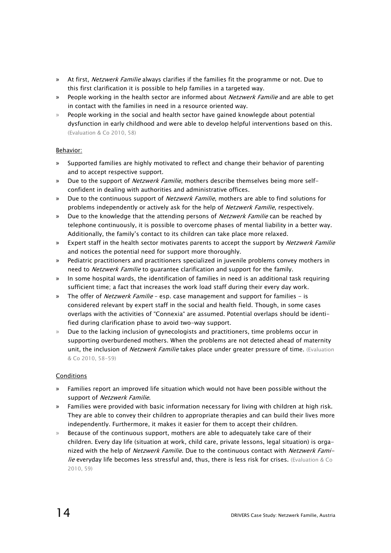- » At first, *Netzwerk Familie* always clarifies if the families fit the programme or not. Due to this first clarification it is possible to help families in a targeted way.
- People working in the health sector are informed about Netzwerk Familie and are able to get in contact with the families in need in a resource oriented way.
- » People working in the social and health sector have gained knowlegde about potential dysfunction in early childhood and were able to develop helpful interventions based on this. (Evaluation & Co 2010, 58)

#### Behavior:

- » Supported families are highly motivated to reflect and change their behavior of parenting and to accept respective support.
- » Due to the support of *Netzwerk Familie*, mothers describe themselves being more selfconfident in dealing with authorities and administrative offices.
- » Due to the continuous support of *Netzwerk Familie*, mothers are able to find solutions for problems independently or actively ask for the help of *Netzwerk Familie*, respectively.
- » Due to the knowledge that the attending persons of Netzwerk Familie can be reached by telephone continuously, it is possible to overcome phases of mental liability in a better way. Additionally, the family's contact to its children can take place more relaxed.
- » Expert staff in the health sector motivates parents to accept the support by Netzwerk Familie and notices the potential need for support more thoroughly.
- » Pediatric practitioners and practitioners specialized in juvenile problems convey mothers in need to Netzwerk Familie to guarantee clarification and support for the family.
- » In some hospital wards, the identification of families in need is an additional task requiring sufficient time; a fact that increases the work load staff during their every day work.
- The offer of *Netzwerk Familie* esp. case management and support for families is considered relevant by expert staff in the social and health field. Though, in some cases overlaps with the activities of "Connexia" are assumed. Potential overlaps should be identified during clarification phase to avoid two-way support.
- » Due to the lacking inclusion of gynecologists and practitioners, time problems occur in supporting overburdened mothers. When the problems are not detected ahead of maternity unit, the inclusion of Netzwerk Familie takes place under greater pressure of time. (Evaluation & Co 2010, 58-59)

#### Conditions

- » Families report an improved life situation which would not have been possible without the support of Netzwerk Familie.
- » Families were provided with basic information necessary for living with children at high risk. They are able to convey their children to appropriate therapies and can build their lives more independently. Furthermore, it makes it easier for them to accept their children.
- » Because of the continuous support, mothers are able to adequately take care of their children. Every day life (situation at work, child care, private lessons, legal situation) is organized with the help of Netzwerk Familie. Due to the continuous contact with Netzwerk Familie everyday life becomes less stressful and, thus, there is less risk for crises. (Evaluation & Co 2010, 59)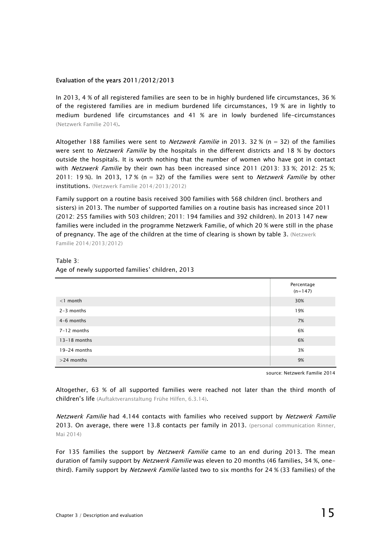#### Evaluation of the years 2011/2012/2013

In 2013, 4 % of all registered families are seen to be in highly burdened life circumstances, 36 % of the registered families are in medium burdened life circumstances, 19 % are in lightly to medium burdened life circumstances and 41 % are in lowly burdened life-circumstances (Netzwerk Familie 2014).

Altogether 188 families were sent to *Netzwerk Familie* in 2013. 32 % ( $n = 32$ ) of the families were sent to *Netzwerk Familie* by the hospitals in the different districts and 18 % by doctors outside the hospitals. It is worth nothing that the number of women who have got in contact with Netzwerk Familie by their own has been increased since 2011 (2013: 33 %; 2012: 25 %; 2011: 19 %). In 2013, 17 % ( $n = 32$ ) of the families were sent to *Netzwerk Familie* by other institutions. (Netzwerk Familie 2014/2013/2012)

Family support on a routine basis received 300 families with 568 children (incl. brothers and sisters) in 2013. The number of supported families on a routine basis has increased since 2011 (2012: 255 families with 503 children; 2011: 194 families and 392 children). In 2013 147 new families were included in the programme Netzwerk Familie, of which 20 % were still in the phase of pregnancy. The age of the children at the time of clearing is shown by table 3. (Netzwerk Familie 2014/2013/2012)

#### Table 3:

|                 | Percentage<br>$(n=147)$ |
|-----------------|-------------------------|
| $<$ 1 month     | 30%                     |
| $2-3$ months    | 19%                     |
| 4-6 months      | 7%                      |
| $7 - 12$ months | 6%                      |
| $13-18$ months  | 6%                      |
| 19-24 months    | 3%                      |
| $>$ 24 months   | 9%                      |

### Age of newly supported families' children, 2013

source: Netzwerk Familie 2014

Altogether, 63 % of all supported families were reached not later than the third month of children's life (Auftaktveranstaltung Frühe Hilfen, 6.3.14).

Netzwerk Familie had 4.144 contacts with families who received support by Netzwerk Familie 2013. On average, there were 13.8 contacts per family in 2013. (personal communication Rinner, Mai 2014)

For 135 families the support by *Netzwerk Familie* came to an end during 2013. The mean duration of family support by *Netzwerk Familie* was eleven to 20 months (46 families, 34 %, onethird). Family support by *Netzwerk Familie* lasted two to six months for 24 % (33 families) of the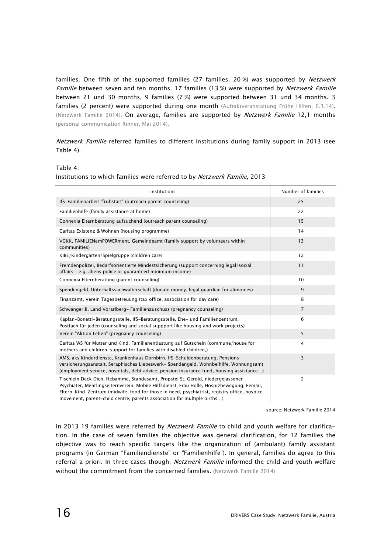families. One fifth of the supported families (27 families, 20%) was supported by Netzwerk Familie between seven and ten months. 17 families (13 %) were supported by Netzwerk Familie between 21 und 30 months, 9 families (7 %) were supported between 31 und 34 months. 3 families (2 percent) were supported during one month (Auftaktveranstaltung Frühe Hilfen, 6.3.14). (Netzwerk Familie 2014). On average, families are supported by Netzwerk Familie 12,1 months (personal communication Rinner, Mai 2014).

Netzwerk Familie referred families to different institutions during family support in 2013 (see Table 4).

Table 4:

| institutions                                                                                                                                                                                                                                                                                                                                             | Number of families |
|----------------------------------------------------------------------------------------------------------------------------------------------------------------------------------------------------------------------------------------------------------------------------------------------------------------------------------------------------------|--------------------|
| IfS-Familienarbeit "frühstart" (outreach parent counseling)                                                                                                                                                                                                                                                                                              | 25                 |
| Familienhilfe (family assistance at home)                                                                                                                                                                                                                                                                                                                | 22                 |
| Connexia Elternberatung aufsuchend (outreach parent counseling)                                                                                                                                                                                                                                                                                          | 15                 |
| Caritas Existenz & Wohnen (housing programme)                                                                                                                                                                                                                                                                                                            | 14                 |
| VGKK, FAMILIENemPOWERment, Gemeindeamt (family support by volunteers within<br>communities)                                                                                                                                                                                                                                                              | 13                 |
| KIBE/Kindergarten/Spielgruppe (children care)                                                                                                                                                                                                                                                                                                            | 12                 |
| Fremdenpolizei, Bedarfsorientierte Mindestsicherung (support concerning legal/social<br>affairs - e.g. aliens police or guaranteed minimum income)                                                                                                                                                                                                       | 11                 |
| Connexia Elternberatung (parent counseling)                                                                                                                                                                                                                                                                                                              | 10                 |
| Spendengeld, Unterhaltssachwalterschaft (donate money, legal guardian for alimonies)                                                                                                                                                                                                                                                                     | 9                  |
| Finanzamt, Verein Tagesbetreuung (tax office, association for day care)                                                                                                                                                                                                                                                                                  | 8                  |
| Schwanger.li, Land Vorarlberg-Familienzuschuss (pregnancy counseling)                                                                                                                                                                                                                                                                                    | $\overline{7}$     |
| Kaplan-Bonetti-Beratungsstelle, IfS-Beratungsstelle, Ehe- und Familienzentrum,<br>Postfach für jeden (counseling and social suppport like housing and work projects)                                                                                                                                                                                     | 6                  |
| Verein "Aktion Leben" (pregnancy counseling)                                                                                                                                                                                                                                                                                                             | 5                  |
| Caritas WS für Mutter und Kind, Familienentlastung auf Gutschein (commune/house for<br>mothers and children, support for families with disabled children,)                                                                                                                                                                                               | $\overline{4}$     |
| AMS, aks Kinderdienste, Krankenhaus Dornbirn, IfS-Schuldenberatung, Pensions-<br>versicherungsanstalt, Seraphisches Liebeswerk- Spendengeld, Wohnbeihilfe, Wohnungsamt<br>(employment service, hospitals, debt advice, pension insurance fund, housing assistance)                                                                                       | 3                  |
| Tischlein Deck Dich, Hebamme, Standesamt, Propstei St. Gerold, niedergelassener<br>Psychiater, Mehrlingselternverein, Mobile Hilfsdienst, Frau Holle, Hospizbewegung, Femail,<br>Eltern-Kind-Zentrum (midwife, food for those in need, psychiatrist, registry office, hospice<br>movement, parent-child centre, parents association for multiple births) | 2                  |

#### Institutions to which families were referred to by Netzwerk Familie, 2013

source: Netzwerk Familie 2014

In 2013 19 families were referred by Netzwerk Familie to child and youth welfare for clarification. In the case of seven families the objective was general clarification, for 12 families the objective was to reach specific targets like the organization of (ambulant) family assistant programs (in German "Familiendienste" or "Familienhilfe"). In general, families do agree to this referral a priori. In three cases though, Netzwerk Familie informed the child and youth welfare without the commitment from the concerned families. (Netzwerk Familie 2014)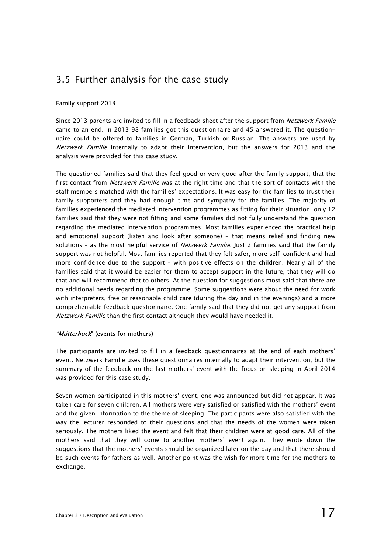## 3.5 Further analysis for the case study

#### Family support 2013

Since 2013 parents are invited to fill in a feedback sheet after the support from Netzwerk Familie came to an end. In 2013 98 families got this questionnaire and 45 answered it. The questionnaire could be offered to families in German, Turkish or Russian. The answers are used by Netzwerk Familie internally to adapt their intervention, but the answers for 2013 and the analysis were provided for this case study.

The questioned families said that they feel good or very good after the family support, that the first contact from Netzwerk Familie was at the right time and that the sort of contacts with the staff members matched with the families' expectations. It was easy for the families to trust their family supporters and they had enough time and sympathy for the families. The majority of families experienced the mediated intervention programmes as fitting for their situation; only 12 families said that they were not fitting and some families did not fully understand the question regarding the mediated intervention programmes. Most families experienced the practical help and emotional support (listen and look after someone) - that means relief and finding new solutions - as the most helpful service of *Netzwerk Familie*. Just 2 families said that the family support was not helpful. Most families reported that they felt safer, more self-confident and had more confidence due to the support – with positive effects on the children. Nearly all of the families said that it would be easier for them to accept support in the future, that they will do that and will recommend that to others. At the question for suggestions most said that there are no additional needs regarding the programme. Some suggestions were about the need for work with interpreters, free or reasonable child care (during the day and in the evenings) and a more comprehensible feedback questionnaire. One family said that they did not get any support from Netzwerk Familie than the first contact although they would have needed it.

#### "Mütterhock" (events for mothers)

The participants are invited to fill in a feedback questionnaires at the end of each mothers' event. Netzwerk Familie uses these questionnaires internally to adapt their intervention, but the summary of the feedback on the last mothers' event with the focus on sleeping in April 2014 was provided for this case study.

Seven women participated in this mothers' event, one was announced but did not appear. It was taken care for seven children. All mothers were very satisfied or satisfied with the mothers' event and the given information to the theme of sleeping. The participants were also satisfied with the way the lecturer responded to their questions and that the needs of the women were taken seriously. The mothers liked the event and felt that their children were at good care. All of the mothers said that they will come to another mothers' event again. They wrote down the suggestions that the mothers' events should be organized later on the day and that there should be such events for fathers as well. Another point was the wish for more time for the mothers to exchange.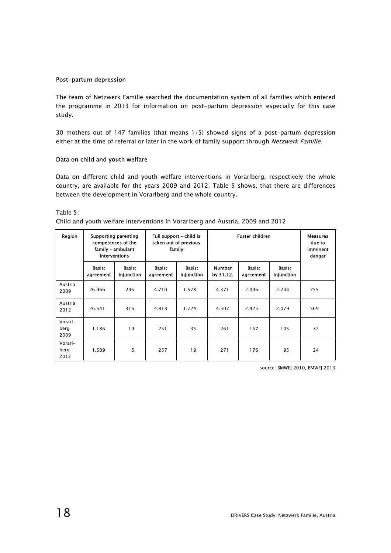#### Post-partum depression

The team of Netzwerk Familie searched the documentation system of all families which entered the programme in 2013 for information on post-partum depression especially for this case study.

30 mothers out of 147 families (that means 1/5) showed signs of a post-partum depression either at the time of referral or later in the work of family support through Netzwerk Familie.

#### Data on child and youth welfare

Data on different child and youth welfare interventions in Vorarlberg, respectively the whole country, are available for the years 2009 and 2012. Table 5 shows, that there are differences between the development in Vorarlberg and the whole country.

Table 5:

| Region                  | <b>Supporting parenting</b><br>competences of the<br>family - ambulant<br>interventions |                      | Full support - child is<br>taken out of previous<br>family |                      | Foster children            |                     |                      | Measures<br>due to<br>imminent<br>danger |
|-------------------------|-----------------------------------------------------------------------------------------|----------------------|------------------------------------------------------------|----------------------|----------------------------|---------------------|----------------------|------------------------------------------|
|                         | Basis:<br>agreement                                                                     | Basis:<br>injunction | Basis:<br>agreement                                        | Basis:<br>injunction | <b>Number</b><br>by 31.12. | Basis:<br>agreement | Basis:<br>injunction |                                          |
| Austria<br>2009         | 26.966                                                                                  | 295                  | 4.710                                                      | 1.578                | 4.371                      | 2.096               | 2.244                | 755                                      |
| Austria<br>2012         | 26.541                                                                                  | 316                  | 4.818                                                      | 1.724                | 4.507                      | 2.425               | 2.079                | 569                                      |
| Vorarl-<br>berg<br>2009 | 1.186                                                                                   | 19                   | 251                                                        | 35                   | 261                        | 157                 | 105                  | 32                                       |
| Vorarl-<br>berg<br>2012 | 1.509                                                                                   | 5                    | 257                                                        | 19                   | 271                        | 176                 | 95                   | 24                                       |

Child and youth welfare interventions in Vorarlberg and Austria, 2009 and 2012

source: BMWFJ 2010, BMWFJ 2013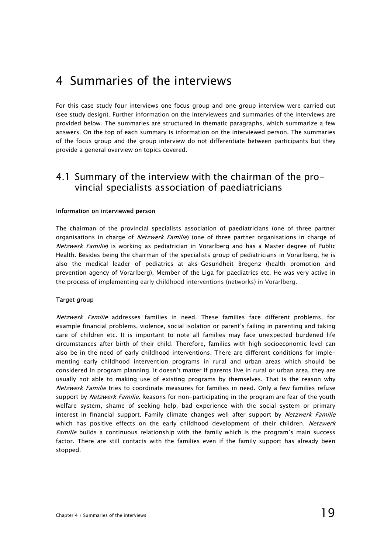## 4 Summaries of the interviews

For this case study four interviews one focus group and one group interview were carried out (see study design). Further information on the interviewees and summaries of the interviews are provided below. The summaries are structured in thematic paragraphs, which summarize a few answers. On the top of each summary is information on the interviewed person. The summaries of the focus group and the group interview do not differentiate between participants but they provide a general overview on topics covered.

### 4.1 Summary of the interview with the chairman of the provincial specialists association of paediatricians

#### Information on interviewed person

The chairman of the provincial specialists association of paediatricians (one of three partner organisations in charge of Netzwerk Familie) (one of three partner organisations in charge of Netzwerk Familie) is working as pediatrician in Vorarlberg and has a Master degree of Public Health. Besides being the chairman of the specialists group of pediatricians in Vorarlberg, he is also the medical leader of pediatrics at aks-Gesundheit Bregenz (health promotion and prevention agency of Vorarlberg), Member of the Liga for paediatrics etc. He was very active in the process of implementing early childhood interventions (networks) in Vorarlberg.

#### Target group

Netzwerk Familie addresses families in need. These families face different problems, for example financial problems, violence, social isolation or parent's failing in parenting and taking care of children etc. It is important to note all families may face unexpected burdened life circumstances after birth of their child. Therefore, families with high socioeconomic level can also be in the need of early childhood interventions. There are different conditions for implementing early childhood intervention programs in rural and urban areas which should be considered in program planning. It doesn't matter if parents live in rural or urban area, they are usually not able to making use of existing programs by themselves. That is the reason why Netzwerk Familie tries to coordinate measures for families in need. Only a few families refuse support by Netzwerk Familie. Reasons for non-participating in the program are fear of the youth welfare system, shame of seeking help, bad experience with the social system or primary interest in financial support. Family climate changes well after support by Netzwerk Familie which has positive effects on the early childhood development of their children. Netzwerk Familie builds a continuous relationship with the family which is the program's main success factor. There are still contacts with the families even if the family support has already been stopped.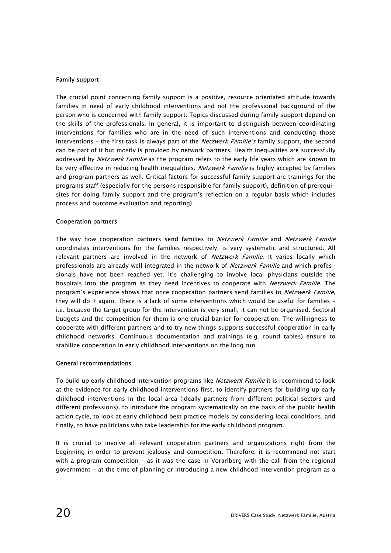#### Family support

The crucial point concerning family support is a positive, resource orientated attitude towards families in need of early childhood interventions and not the professional background of the person who is concerned with family support. Topics discussed during family support depend on the skills of the professionals. In general, it is important to distinguish between coordinating interventions for families who are in the need of such interventions and conducting those interventions - the first task is always part of the *Netzwerk Familie's* family support, the second can be part of it but mostly is provided by network partners. Health inequalities are successfully addressed by Netzwerk Familie as the program refers to the early life years which are known to be very effective in reducing health inequalities. Netzwerk Familie is highly accepted by families and program partners as well. Critical factors for successful family support are trainings for the programs staff (especially for the persons responsible for family support), definition of prerequisites for doing family support and the program's reflection on a regular basis which includes process and outcome evaluation and reporting)

#### Cooperation partners

The way how cooperation partners send families to *Netzwerk Familie* and *Netzwerk Familie* coordinates interventions for the families respectively, is very systematic and structured. All relevant partners are involved in the network of Netzwerk Familie. It varies locally which professionals are already well integrated in the network of Netzwerk Familie and which professionals have not been reached yet. It's challenging to involve local physicians outside the hospitals into the program as they need incentives to cooperate with Netzwerk Familie. The program's experience shows that once cooperation partners send families to Netzwerk Familie, they will do it again. There is a lack of some interventions which would be useful for families – i.e. because the target group for the intervention is very small, it can not be organised. Sectoral budgets and the competition for them is one crucial barrier for cooperation. The willingness to cooperate with different partners and to try new things supports successful cooperation in early childhood networks. Continuous documentation and trainings (e.g. round tables) ensure to stabilize cooperation in early childhood interventions on the long run.

#### General recommendations

To build up early childhood intervention programs like *Netzwerk Familie* it is recommend to look at the evidence for early childhood interventions first, to identify partners for building up early childhood interventions in the local area (ideally partners from different political sectors and different professions), to introduce the program systematically on the basis of the public health action cycle, to look at early childhood best practice models by considering local conditions, and finally, to have politicians who take leadership for the early childhood program.

It is crucial to involve all relevant cooperation partners and organizations right from the beginning in order to prevent jealousy and competition. Therefore, it is recommend not start with a program competition – as it was the case in Vorarlberg with the call from the regional government - at the time of planning or introducing a new childhood intervention program as a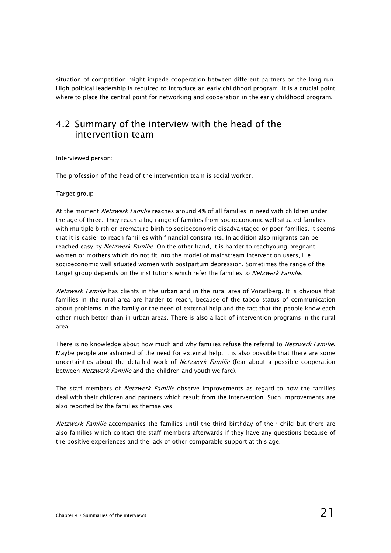situation of competition might impede cooperation between different partners on the long run. High political leadership is required to introduce an early childhood program. It is a crucial point where to place the central point for networking and cooperation in the early childhood program.

### 4.2 Summary of the interview with the head of the intervention team

#### Interviewed person:

The profession of the head of the intervention team is social worker.

#### Target group

At the moment *Netzwerk Familie* reaches around 4% of all families in need with children under the age of three. They reach a big range of families from socioeconomic well situated families with multiple birth or premature birth to socioeconomic disadvantaged or poor families. It seems that it is easier to reach families with financial constraints. In addition also migrants can be reached easy by Netzwerk Familie. On the other hand, it is harder to reachyoung pregnant women or mothers which do not fit into the model of mainstream intervention users, i. e. socioeconomic well situated women with postpartum depression. Sometimes the range of the target group depends on the institutions which refer the families to *Netzwerk Familie*.

Netzwerk Familie has clients in the urban and in the rural area of Vorarlberg. It is obvious that families in the rural area are harder to reach, because of the taboo status of communication about problems in the family or the need of external help and the fact that the people know each other much better than in urban areas. There is also a lack of intervention programs in the rural area.

There is no knowledge about how much and why families refuse the referral to *Netzwerk Familie.* Maybe people are ashamed of the need for external help. It is also possible that there are some uncertainties about the detailed work of Netzwerk Familie (fear about a possible cooperation between *Netzwerk Familie* and the children and youth welfare).

The staff members of Netzwerk Familie observe improvements as regard to how the families deal with their children and partners which result from the intervention. Such improvements are also reported by the families themselves.

Netzwerk Familie accompanies the families until the third birthday of their child but there are also families which contact the staff members afterwards if they have any questions because of the positive experiences and the lack of other comparable support at this age.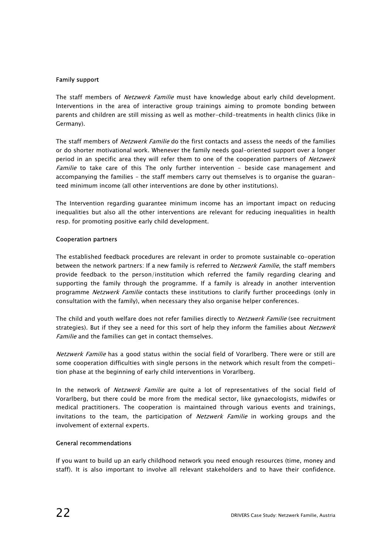#### Family support

The staff members of *Netzwerk Familie* must have knowledge about early child development. Interventions in the area of interactive group trainings aiming to promote bonding between parents and children are still missing as well as mother-child-treatments in health clinics (like in Germany).

The staff members of *Netzwerk Familie* do the first contacts and assess the needs of the families or do shorter motivational work. Whenever the family needs goal-oriented support over a longer period in an specific area they will refer them to one of the cooperation partners of Netzwerk Familie to take care of this The only further intervention - beside case management and accompanying the families – the staff members carry out themselves is to organise the guaranteed minimum income (all other interventions are done by other institutions).

The Intervention regarding guarantee minimum income has an important impact on reducing inequalities but also all the other interventions are relevant for reducing inequalities in health resp. for promoting positive early child development.

#### Cooperation partners

The established feedback procedures are relevant in order to promote sustainable co-operation between the network partners: If a new family is referred to Netzwerk Familie, the staff members provide feedback to the person/institution which referred the family regarding clearing and supporting the family through the programme. If a family is already in another intervention programme Netzwerk Familie contacts these institutions to clarify further proceedings (only in consultation with the family), when necessary they also organise helper conferences.

The child and youth welfare does not refer families directly to Netzwerk Familie (see recruitment strategies). But if they see a need for this sort of help they inform the families about *Netzwerk* Familie and the families can get in contact themselves.

Netzwerk Familie has a good status within the social field of Vorarlberg. There were or still are some cooperation difficulties with single persons in the network which result from the competition phase at the beginning of early child interventions in Vorarlberg.

In the network of Netzwerk Familie are quite a lot of representatives of the social field of Vorarlberg, but there could be more from the medical sector, like gynaecologists, midwifes or medical practitioners. The cooperation is maintained through various events and trainings, invitations to the team, the participation of *Netzwerk Familie* in working groups and the involvement of external experts.

#### General recommendations

If you want to build up an early childhood network you need enough resources (time, money and staff). It is also important to involve all relevant stakeholders and to have their confidence.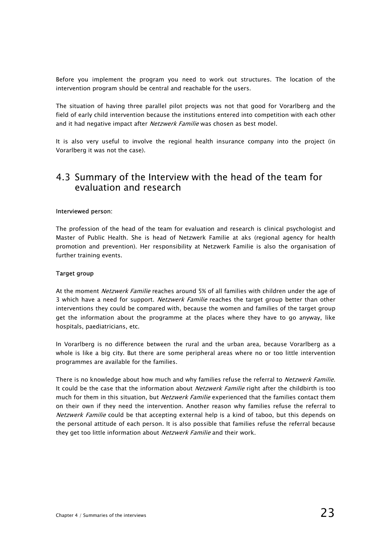Before you implement the program you need to work out structures. The location of the intervention program should be central and reachable for the users.

The situation of having three parallel pilot projects was not that good for Vorarlberg and the field of early child intervention because the institutions entered into competition with each other and it had negative impact after Netzwerk Familie was chosen as best model.

It is also very useful to involve the regional health insurance company into the project (in Vorarlberg it was not the case).

### 4.3 Summary of the Interview with the head of the team for evaluation and research

#### Interviewed person:

The profession of the head of the team for evaluation and research is clinical psychologist and Master of Public Health. She is head of Netzwerk Familie at aks (regional agency for health promotion and prevention). Her responsibility at Netzwerk Familie is also the organisation of further training events.

#### Target group

At the moment Netzwerk Familie reaches around 5% of all families with children under the age of 3 which have a need for support. Netzwerk Familie reaches the target group better than other interventions they could be compared with, because the women and families of the target group get the information about the programme at the places where they have to go anyway, like hospitals, paediatricians, etc.

In Vorarlberg is no difference between the rural and the urban area, because Vorarlberg as a whole is like a big city. But there are some peripheral areas where no or too little intervention programmes are available for the families.

There is no knowledge about how much and why families refuse the referral to Netzwerk Familie. It could be the case that the information about *Netzwerk Familie* right after the childbirth is too much for them in this situation, but Netzwerk Familie experienced that the families contact them on their own if they need the intervention. Another reason why families refuse the referral to Netzwerk Familie could be that accepting external help is a kind of taboo, but this depends on the personal attitude of each person. It is also possible that families refuse the referral because they get too little information about Netzwerk Familie and their work.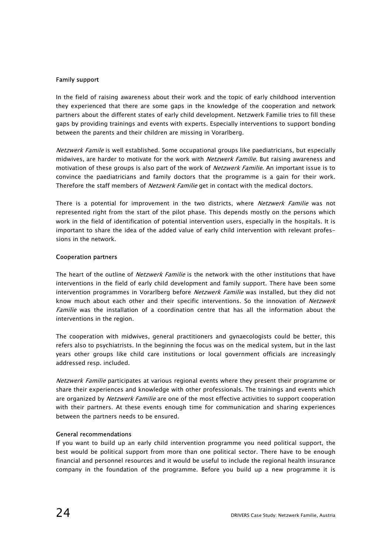#### Family support

In the field of raising awareness about their work and the topic of early childhood intervention they experienced that there are some gaps in the knowledge of the cooperation and network partners about the different states of early child development. Netzwerk Familie tries to fill these gaps by providing trainings and events with experts. Especially interventions to support bonding between the parents and their children are missing in Vorarlberg.

Netzwerk Famile is well established. Some occupational groups like paediatricians, but especially midwives, are harder to motivate for the work with *Netzwerk Familie*. But raising awareness and motivation of these groups is also part of the work of Netzwerk Familie. An important issue is to convince the paediatricians and family doctors that the programme is a gain for their work. Therefore the staff members of *Netzwerk Familie* get in contact with the medical doctors.

There is a potential for improvement in the two districts, where Netzwerk Familie was not represented right from the start of the pilot phase. This depends mostly on the persons which work in the field of identification of potential intervention users, especially in the hospitals. It is important to share the idea of the added value of early child intervention with relevant professions in the network.

#### Cooperation partners

The heart of the outline of *Netzwerk Familie* is the network with the other institutions that have interventions in the field of early child development and family support. There have been some intervention programmes in Vorarlberg before Netzwerk Familie was installed, but they did not know much about each other and their specific interventions. So the innovation of Netzwerk Familie was the installation of a coordination centre that has all the information about the interventions in the region.

The cooperation with midwives, general practitioners and gynaecologists could be better, this refers also to psychiatrists. In the beginning the focus was on the medical system, but in the last years other groups like child care institutions or local government officials are increasingly addressed resp. included.

Netzwerk Familie participates at various regional events where they present their programme or share their experiences and knowledge with other professionals. The trainings and events which are organized by Netzwerk Familie are one of the most effective activities to support cooperation with their partners. At these events enough time for communication and sharing experiences between the partners needs to be ensured.

#### General recommendations

If you want to build up an early child intervention programme you need political support, the best would be political support from more than one political sector. There have to be enough financial and personnel resources and it would be useful to include the regional health insurance company in the foundation of the programme. Before you build up a new programme it is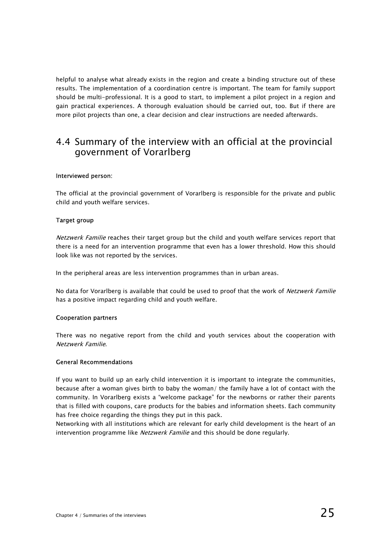helpful to analyse what already exists in the region and create a binding structure out of these results. The implementation of a coordination centre is important. The team for family support should be multi-professional. It is a good to start, to implement a pilot project in a region and gain practical experiences. A thorough evaluation should be carried out, too. But if there are more pilot projects than one, a clear decision and clear instructions are needed afterwards.

### 4.4 Summary of the interview with an official at the provincial government of Vorarlberg

#### Interviewed person:

The official at the provincial government of Vorarlberg is responsible for the private and public child and youth welfare services.

#### Target group

Netzwerk Familie reaches their target group but the child and youth welfare services report that there is a need for an intervention programme that even has a lower threshold. How this should look like was not reported by the services.

In the peripheral areas are less intervention programmes than in urban areas.

No data for Vorarlberg is available that could be used to proof that the work of Netzwerk Familie has a positive impact regarding child and youth welfare.

#### Cooperation partners

There was no negative report from the child and youth services about the cooperation with Netzwerk Familie.

#### General Recommendations

If you want to build up an early child intervention it is important to integrate the communities, because after a woman gives birth to baby the woman/ the family have a lot of contact with the community. In Vorarlberg exists a "welcome package" for the newborns or rather their parents that is filled with coupons, care products for the babies and information sheets. Each community has free choice regarding the things they put in this pack.

Networking with all institutions which are relevant for early child development is the heart of an intervention programme like *Netzwerk Familie* and this should be done regularly.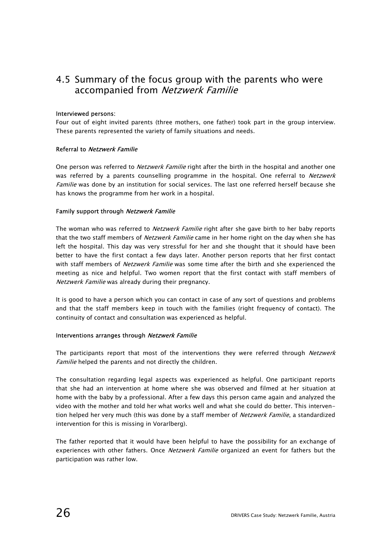### 4.5 Summary of the focus group with the parents who were accompanied from Netzwerk Familie

#### Interviewed persons:

Four out of eight invited parents (three mothers, one father) took part in the group interview. These parents represented the variety of family situations and needs.

#### Referral to Netzwerk Familie

One person was referred to *Netzwerk Familie* right after the birth in the hospital and another one was referred by a parents counselling programme in the hospital. One referral to Netzwerk Familie was done by an institution for social services. The last one referred herself because she has knows the programme from her work in a hospital.

#### Family support through Netzwerk Familie

The woman who was referred to *Netzwerk Familie* right after she gave birth to her baby reports that the two staff members of *Netzwerk Familie* came in her home right on the day when she has left the hospital. This day was very stressful for her and she thought that it should have been better to have the first contact a few days later. Another person reports that her first contact with staff members of *Netzwerk Familie* was some time after the birth and she experienced the meeting as nice and helpful. Two women report that the first contact with staff members of Netzwerk Familie was already during their pregnancy.

It is good to have a person which you can contact in case of any sort of questions and problems and that the staff members keep in touch with the families (right frequency of contact). The continuity of contact and consultation was experienced as helpful.

#### Interventions arranges through Netzwerk Familie

The participants report that most of the interventions they were referred through Netzwerk Familie helped the parents and not directly the children.

The consultation regarding legal aspects was experienced as helpful. One participant reports that she had an intervention at home where she was observed and filmed at her situation at home with the baby by a professional. After a few days this person came again and analyzed the video with the mother and told her what works well and what she could do better. This intervention helped her very much (this was done by a staff member of Netzwerk Familie, a standardized intervention for this is missing in Vorarlberg).

The father reported that it would have been helpful to have the possibility for an exchange of experiences with other fathers. Once Netzwerk Familie organized an event for fathers but the participation was rather low.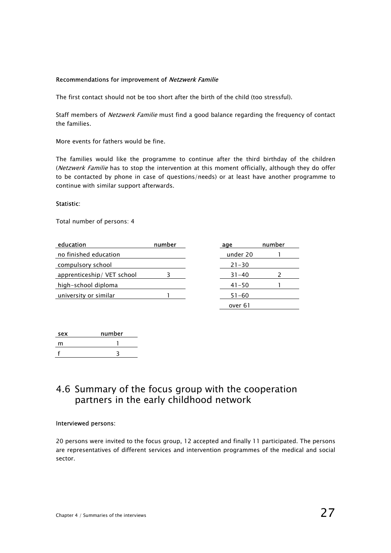#### Recommendations for improvement of Netzwerk Familie

The first contact should not be too short after the birth of the child (too stressful).

Staff members of Netzwerk Familie must find a good balance regarding the frequency of contact the families.

More events for fathers would be fine.

The families would like the programme to continue after the third birthday of the children (Netzwerk Familie has to stop the intervention at this moment officially, although they do offer to be contacted by phone in case of questions/needs) or at least have another programme to continue with similar support afterwards.

#### Statistic:

Total number of persons: 4

| education                  | number | age       | number |
|----------------------------|--------|-----------|--------|
| no finished education      |        | under 20  |        |
| compulsory school          |        | $21 - 30$ |        |
| apprenticeship/ VET school |        | $31 - 40$ |        |
| high-school diploma        |        | $41 - 50$ |        |
| university or similar      |        | $51 - 60$ |        |
|                            |        |           |        |

| age       | number |
|-----------|--------|
| under 20  |        |
| $21 - 30$ |        |
| $31 - 40$ | 2      |
| $41 - 50$ |        |
| $51 - 60$ |        |
| over 61   |        |

| sex | number |
|-----|--------|
| m   |        |
|     |        |

### 4.6 Summary of the focus group with the cooperation partners in the early childhood network

#### Interviewed persons:

20 persons were invited to the focus group, 12 accepted and finally 11 participated. The persons are representatives of different services and intervention programmes of the medical and social sector.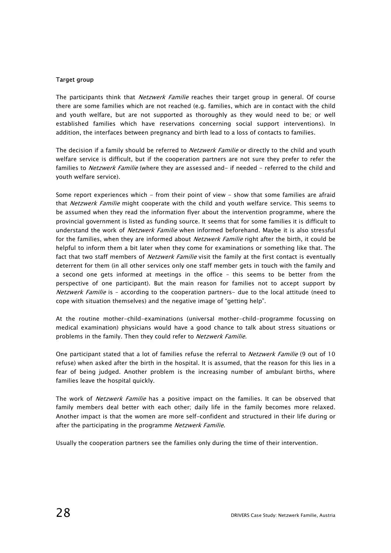#### Target group

The participants think that *Netzwerk Familie* reaches their target group in general. Of course there are some families which are not reached (e.g. families, which are in contact with the child and youth welfare, but are not supported as thoroughly as they would need to be; or well established families which have reservations concerning social support interventions). In addition, the interfaces between pregnancy and birth lead to a loss of contacts to families.

The decision if a family should be referred to Netzwerk Familie or directly to the child and youth welfare service is difficult, but if the cooperation partners are not sure they prefer to refer the families to Netzwerk Familie (where they are assessed and- if needed - referred to the child and youth welfare service).

Some report experiences which - from their point of view - show that some families are afraid that Netzwerk Familie might cooperate with the child and youth welfare service. This seems to be assumed when they read the information flyer about the intervention programme, where the provincial government is listed as funding source. It seems that for some families it is difficult to understand the work of *Netzwerk Familie* when informed beforehand. Maybe it is also stressful for the families, when they are informed about *Netzwerk Familie* right after the birth, it could be helpful to inform them a bit later when they come for examinations or something like that. The fact that two staff members of *Netzwerk Familie* visit the family at the first contact is eventually deterrent for them (in all other services only one staff member gets in touch with the family and a second one gets informed at meetings in the office – this seems to be better from the perspective of one participant). But the main reason for families not to accept support by Netzwerk Familie is - according to the cooperation partners- due to the local attitude (need to cope with situation themselves) and the negative image of "getting help".

At the routine mother-child-examinations (universal mother-child-programme focussing on medical examination) physicians would have a good chance to talk about stress situations or problems in the family. Then they could refer to Netzwerk Familie.

One participant stated that a lot of families refuse the referral to *Netzwerk Familie* (9 out of 10 refuse) when asked after the birth in the hospital. It is assumed, that the reason for this lies in a fear of being judged. Another problem is the increasing number of ambulant births, where families leave the hospital quickly.

The work of *Netzwerk Familie* has a positive impact on the families. It can be observed that family members deal better with each other; daily life in the family becomes more relaxed. Another impact is that the women are more self-confident and structured in their life during or after the participating in the programme Netzwerk Familie.

Usually the cooperation partners see the families only during the time of their intervention.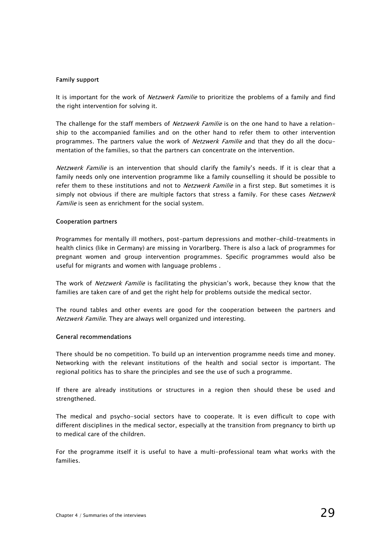#### Family support

It is important for the work of Netzwerk Familie to prioritize the problems of a family and find the right intervention for solving it.

The challenge for the staff members of *Netzwerk Familie* is on the one hand to have a relationship to the accompanied families and on the other hand to refer them to other intervention programmes. The partners value the work of *Netzwerk Familie* and that they do all the documentation of the families, so that the partners can concentrate on the intervention.

Netzwerk Familie is an intervention that should clarify the family's needs. If it is clear that a family needs only one intervention programme like a family counselling it should be possible to refer them to these institutions and not to *Netzwerk Familie* in a first step. But sometimes it is simply not obvious if there are multiple factors that stress a family. For these cases Netzwerk Familie is seen as enrichment for the social system.

#### Cooperation partners

Programmes for mentally ill mothers, post-partum depressions and mother-child-treatments in health clinics (like in Germany) are missing in Vorarlberg. There is also a lack of programmes for pregnant women and group intervention programmes. Specific programmes would also be useful for migrants and women with language problems .

The work of Netzwerk Familie is facilitating the physician's work, because they know that the families are taken care of and get the right help for problems outside the medical sector.

The round tables and other events are good for the cooperation between the partners and Netzwerk Familie. They are always well organized und interesting.

#### General recommendations

There should be no competition. To build up an intervention programme needs time and money. Networking with the relevant institutions of the health and social sector is important. The regional politics has to share the principles and see the use of such a programme.

If there are already institutions or structures in a region then should these be used and strengthened.

The medical and psycho-social sectors have to cooperate. It is even difficult to cope with different disciplines in the medical sector, especially at the transition from pregnancy to birth up to medical care of the children.

For the programme itself it is useful to have a multi-professional team what works with the families.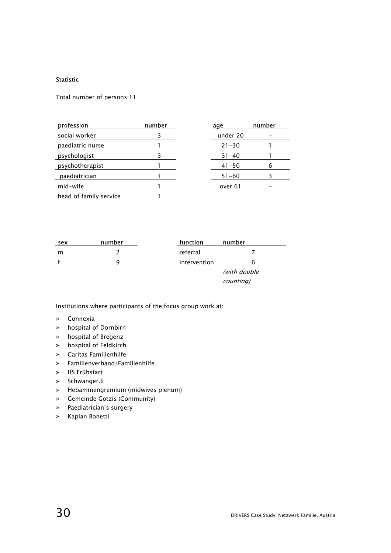#### Statistic

Total number of persons:11

| profession             | number | age       | number |
|------------------------|--------|-----------|--------|
| social worker          |        | under 20  |        |
| paediatric nurse       |        | $21 - 30$ |        |
| psychologist           |        | $31 - 40$ |        |
| psychotherapist        |        | $41 - 50$ | 6      |
| paediatrician          |        | $51 - 60$ |        |
| mid-wife               |        | over 61   |        |
| head of family service |        |           |        |

| sex | number | function     | number    |  |
|-----|--------|--------------|-----------|--|
| m   |        | referral     |           |  |
|     |        | intervention |           |  |
|     |        | (with double |           |  |
|     |        |              | counting) |  |

Institutions where participants of the focus group work at:

- » Connexia
- » hospital of Dornbirn
- » hospital of Bregenz
- » hospital of Feldkirch
- » Caritas Familienhilfe
- » Familienverband/Familienhilfe
- » IfS Frühstart
- » Schwanger.li
- » Hebammengremium (midwives plenum)
- » Gemeinde Götzis (Community)
- » Paediatrician's surgery
- » Kaplan Bonetti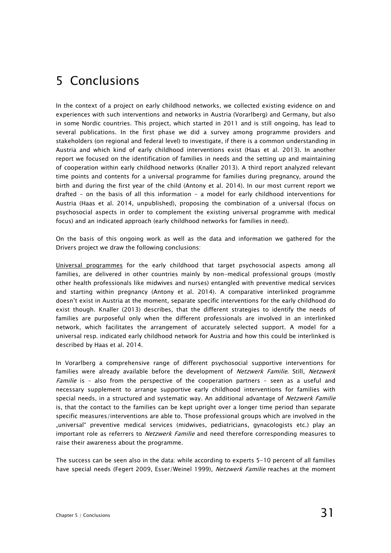## 5 Conclusions

In the context of a project on early childhood networks, we collected existing evidence on and experiences with such interventions and networks in Austria (Vorarlberg) and Germany, but also in some Nordic countries. This project, which started in 2011 and is still ongoing, has lead to several publications. In the first phase we did a survey among programme providers and stakeholders (on regional and federal level) to investigate, if there is a common understanding in Austria and which kind of early childhood interventions exist (Haas et al. 2013). In another report we focused on the identification of families in needs and the setting up and maintaining of cooperation within early childhood networks (Knaller 2013). A third report analyzed relevant time points and contents for a universal programme for families during pregnancy, around the birth and during the first year of the child (Antony et al. 2014). In our most current report we drafted - on the basis of all this information - a model for early childhood interventions for Austria (Haas et al. 2014, unpublished), proposing the combination of a universal (focus on psychosocial aspects in order to complement the existing universal programme with medical focus) and an indicated approach (early childhood networks for families in need).

On the basis of this ongoing work as well as the data and information we gathered for the Drivers project we draw the following conclusions:

Universal programmes for the early childhood that target psychosocial aspects among all families, are delivered in other countries mainly by non-medical professional groups (mostly other health professionals like midwives and nurses) entangled with preventive medical services and starting within pregnancy (Antony et al. 2014). A comparative interlinked programme doesn't exist in Austria at the moment, separate specific interventions for the early childhood do exist though. Knaller (2013) describes, that the different strategies to identify the needs of families are purposeful only when the different professionals are involved in an interlinked network, which facilitates the arrangement of accurately selected support. A model for a universal resp. indicated early childhood network for Austria and how this could be interlinked is described by Haas et al. 2014.

In Vorarlberg a comprehensive range of different psychosocial supportive interventions for families were already available before the development of Netzwerk Familie. Still, Netzwerk Familie is - also from the perspective of the cooperation partners - seen as a useful and necessary supplement to arrange supportive early childhood interventions for families with special needs, in a structured and systematic way. An additional advantage of Netzwerk Familie is, that the contact to the families can be kept upright over a longer time period than separate specific measures/interventions are able to. Those professional groups which are involved in the "universal" preventive medical services (midwives, pediatricians, gynacologists etc.) play an important role as referrers to *Netzwerk Familie* and need therefore corresponding measures to raise their awareness about the programme.

The success can be seen also in the data: while according to experts 5-10 percent of all families have special needs (Fegert 2009, Esser/Weinel 1999), Netzwerk Familie reaches at the moment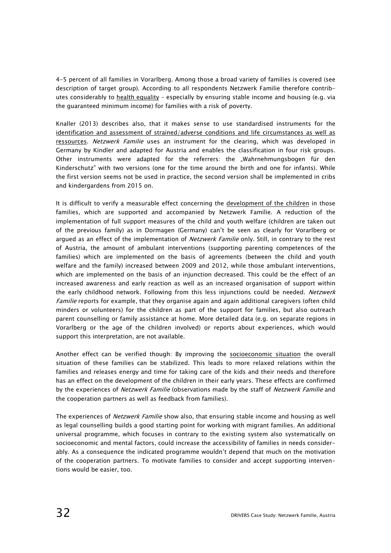4-5 percent of all families in Vorarlberg. Among those a broad variety of families is covered (see description of target group). According to all respondents Netzwerk Familie therefore contributes considerably to health equality - especially by ensuring stable income and housing (e.g. via the guaranteed minimum income) for families with a risk of poverty.

Knaller (2013) describes also, that it makes sense to use standardised instruments for the identification and assessment of strained/adverse conditions and life circumstances as well as ressources. Netzwerk Familie uses an instrument for the clearing, which was developed in Germany by Kindler and adapted for Austria and enables the classification in four risk groups. Other instruments were adapted for the referrers: the "Wahrnehmungsbogen für den Kinderschutz" with two versions (one for the time around the birth and one for infants). While the first version seems not be used in practice, the second version shall be implemented in cribs and kindergardens from 2015 on.

It is difficult to verify a measurable effect concerning the development of the children in those families, which are supported and accompanied by Netzwerk Familie. A reduction of the implementation of full support measures of the child and youth welfare (children are taken out of the previous family) as in Dormagen (Germany) can't be seen as clearly for Vorarlberg or argued as an effect of the implementation of *Netzwerk Familie* only. Still, in contrary to the rest of Austria, the amount of ambulant interventions (supporting parenting competences of the families) which are implemented on the basis of agreements (between the child and youth welfare and the family) increased between 2009 and 2012, while those ambulant interventions, which are implemented on the basis of an injunction decreased. This could be the effect of an increased awareness and early reaction as well as an increased organisation of support within the early childhood network. Following from this less injunctions could be needed. Netzwerk Familie reports for example, that they organise again and again additional caregivers (often child minders or volunteers) for the children as part of the support for families, but also outreach parent counselling or family assistance at home. More detailed data (e.g. on separate regions in Vorarlberg or the age of the children involved) or reports about experiences, which would support this interpretation, are not available.

Another effect can be verified though: By improving the socioeconomic situation the overall situation of these families can be stabilized. This leads to more relaxed relations within the families and releases energy and time for taking care of the kids and their needs and therefore has an effect on the development of the children in their early years. These effects are confirmed by the experiences of Netzwerk Familie (observations made by the staff of Netzwerk Familie and the cooperation partners as well as feedback from families).

The experiences of *Netzwerk Familie* show also, that ensuring stable income and housing as well as legal counselling builds a good starting point for working with migrant families. An additional universal programme, which focuses in contrary to the existing system also systematically on socioeconomic and mental factors, could increase the accessibility of families in needs considerably. As a consequence the indicated programme wouldn't depend that much on the motivation of the cooperation partners. To motivate families to consider and accept supporting interventions would be easier, too.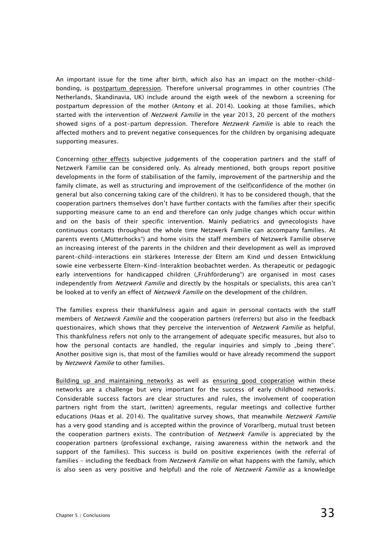An important issue for the time after birth, which also has an impact on the mother-childbonding, is postpartum depression. Therefore universal programmes in other countries (The Netherlands, Skandinavia, UK) include around the eigth week of the newborn a screening for postpartum depression of the mother (Antony et al. 2014). Looking at those families, which started with the intervention of *Netzwerk Familie* in the year 2013, 20 percent of the mothers showed signs of a post-partum depression. Therefore Netzwerk Familie is able to reach the affected mothers and to prevent negative consequences for the children by organising adequate supporting measures.

Concerning other effects subjective judgements of the cooperation partners and the staff of Netzwerk Familie can be considered only. As already mentioned, both groups report positive developments in the form of stabilisation of the family, improvement of the partnership and the family climate, as well as structuring and improvement of the (self)confidence of the mother (in general but also concerning taking care of the children). It has to be considered though, that the cooperation partners themselves don't have further contacts with the families after their specific supporting measure came to an end and therefore can only judge changes which occur within and on the basis of their specific intervention. Mainly pediatrics and gynecologists have continuous contacts throughout the whole time Netzwerk Familie can accompany families. At parents events ("Mütterhocks") and home visits the staff members of Netzwerk Familie observe an increasing interest of the parents in the children and their development as well as improved parent-child-interactions ein stärkeres Interesse der Eltern am Kind und dessen Entwicklung sowie eine verbesserte Eltern-Kind-Interaktion beobachtet werden. As therapeutic or pedagogic early interventions for handicapped children ("Frühförderung") are organised in most cases independently from Netzwerk Familie and directly by the hospitals or specialists, this area can't be looked at to verify an effect of *Netzwerk Familie* on the development of the children.

The families express their thankfulness again and again in personal contacts with the staff members of Netzwerk Familie and the cooperation partners (referrers) but also in the feedback questionaires, which shows that they perceive the intervention of *Netzwerk Familie* as helpful. This thankfulness refers not only to the arrangement of adequate specific measures, but also to how the personal contacts are handled, the regular inquiries and simply to "being there". Another positive sign is, that most of the families would or have already recommend the support by Netzwerk Familie to other families.

Building up and maintaining networks as well as ensuring good cooperation within these networks are a challenge but very important for the success of early childhood networks. Considerable success factors are clear structures and rules, the involvement of cooperation partners right from the start, (written) agreements, regular meetings and collective further educations (Haas et al. 2014). The qualitative survey shows, that meanwhile Netzwerk Familie has a very good standing and is accepted within the province of Vorarlberg, mutual trust beteen the cooperation partners exists. The contribution of Netzwerk Familie is appreciated by the cooperation partners (professional exchange, raising awareness within the network and the support of the families). This success is build on positive experiences (with the referral of families - including the feedback from *Netzwerk Familie* on what happens with the family, which is also seen as very positive and helpful) and the role of *Netzwerk Familie* as a knowledge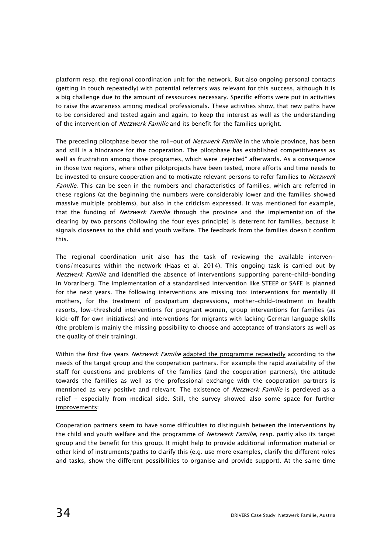platform resp. the regional coordination unit for the network. But also ongoing personal contacts (getting in touch repeatedly) with potential referrers was relevant for this success, although it is a big challenge due to the amount of ressources necessary. Specific efforts were put in activities to raise the awareness among medical professionals. These activities show, that new paths have to be considered and tested again and again, to keep the interest as well as the understanding of the intervention of Netzwerk Familie and its benefit for the families upright.

The preceding pilotphase bevor the roll-out of *Netzwerk Familie* in the whole province, has been and still is a hindrance for the cooperation. The pilotphase has established competitiveness as well as frustration among those programes, which were "rejected" afterwards. As a consequence in those two regions, where other pilotprojects have been tested, more efforts and time needs to be invested to ensure cooperation and to motivate relevant persons to refer families to *Netzwerk* Familie. This can be seen in the numbers and characteristics of families, which are referred in these regions (at the beginning the numbers were considerably lower and the families showed massive multiple problems), but also in the criticism expressed. It was mentioned for example, that the funding of Netzwerk Familie through the province and the implementation of the clearing by two persons (following the four eyes principle) is deterrent for families, because it signals closeness to the child and youth welfare. The feedback from the families doesn't confirm this.

The regional coordination unit also has the task of reviewing the available interventions/measures within the network (Haas et al. 2014). This ongoing task is carried out by Netzwerk Familie and identified the absence of interventions supporting parent-child-bonding in Vorarlberg. The implementation of a standardised intervention like STEEP or SAFE is planned for the next years. The following interventions are missing too: interventions for mentally ill mothers, for the treatment of postpartum depressions, mother-child-treatment in health resorts, low-threshold interventions for pregnant women, group interventions for families (as kick-off for own initiatives) and interventions for migrants with lacking German language skills (the problem is mainly the missing possibility to choose and acceptance of translators as well as the quality of their training).

Within the first five years Netzwerk Familie adapted the programme repeatedly according to the needs of the target group and the cooperation partners. For example the rapid availability of the staff for questions and problems of the families (and the cooperation partners), the attitude towards the families as well as the professional exchange with the cooperation partners is mentioned as very positive and relevant. The existence of *Netzwerk Familie* is percieved as a relief - especially from medical side. Still, the survey showed also some space for further improvements:

Cooperation partners seem to have some difficulties to distinguish between the interventions by the child and youth welfare and the programme of Netzwerk Familie, resp. partly also its target group and the benefit for this group. It might help to provide additional information material or other kind of instruments/paths to clarify this (e.g. use more examples, clarify the different roles and tasks, show the different possibilities to organise and provide support). At the same time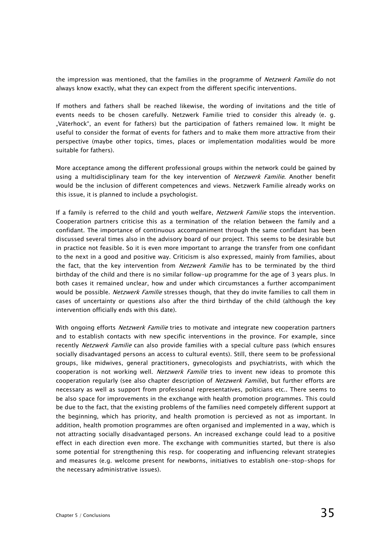the impression was mentioned, that the families in the programme of Netzwerk Familie do not always know exactly, what they can expect from the different specific interventions.

If mothers and fathers shall be reached likewise, the wording of invitations and the title of events needs to be chosen carefully. Netzwerk Familie tried to consider this already (e. g. "Väterhock", an event for fathers) but the participation of fathers remained low. It might be useful to consider the format of events for fathers and to make them more attractive from their perspective (maybe other topics, times, places or implementation modalities would be more suitable for fathers).

More acceptance among the different professional groups within the network could be gained by using a multidisciplinary team for the key intervention of Netzwerk Familie. Another benefit would be the inclusion of different competences and views. Netzwerk Familie already works on this issue, it is planned to include a psychologist.

If a family is referred to the child and youth welfare, Netzwerk Familie stops the intervention. Cooperation partners criticise this as a termination of the relation between the family and a confidant. The importance of continuous accompaniment through the same confidant has been discussed several times also in the advisory board of our project. This seems to be desirable but in practice not feasible. So it is even more important to arrange the transfer from one confidant to the next in a good and positive way. Criticism is also expressed, mainly from families, about the fact, that the key intervention from *Netzwerk Familie* has to be terminated by the third birthday of the child and there is no similar follow-up programme for the age of 3 years plus. In both cases it remained unclear, how and under which circumstances a further accompaniment would be possible. Netzwerk Familie stresses though, that they do invite families to call them in cases of uncertainty or questions also after the third birthday of the child (although the key intervention officially ends with this date).

With ongoing efforts *Netzwerk Familie* tries to motivate and integrate new cooperation partners and to establish contacts with new specific interventions in the province. For example, since recently Netzwerk Familie can also provide families with a special culture pass (which ensures socially disadvantaged persons an access to cultural events). Still, there seem to be professional groups, like midwives, general practitioners, gynecologists and psychiatrists, with which the cooperation is not working well. *Netzwerk Familie* tries to invent new ideas to promote this cooperation regularly (see also chapter description of Netzwerk Familie), but further efforts are necessary as well as support from professional representatives, polticians etc.. There seems to be also space for improvements in the exchange with health promotion programmes. This could be due to the fact, that the existing problems of the families need competely different support at the beginning, which has priority, and health promotion is percieved as not as important. In addition, health promotion programmes are often organised and implemented in a way, which is not attracting socially disadvantaged persons. An increased exchange could lead to a positive effect in each direction even more. The exchange with communities started, but there is also some potential for strengthening this resp. for cooperating and influencing relevant strategies and measures (e.g. welcome present for newborns, initiatives to establish one-stop-shops for the necessary administrative issues).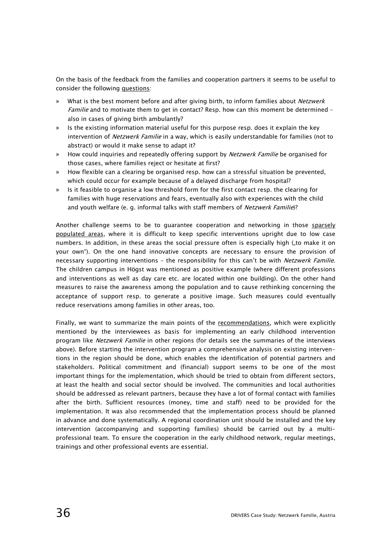On the basis of the feedback from the families and cooperation partners it seems to be useful to consider the following questions:

- What is the best moment before and after giving birth, to inform families about Netzwerk Familie and to motivate them to get in contact? Resp. how can this moment be determined also in cases of giving birth ambulantly?
- » Is the existing information material useful for this purpose resp. does it explain the key intervention of *Netzwerk Familie* in a way, which is easily understandable for families (not to abstract) or would it make sense to adapt it?
- How could inquiries and repeatedly offering support by Netzwerk Familie be organised for those cases, where families reject or hesitate at first?
- » How flexible can a clearing be organised resp. how can a stressful situation be prevented, which could occur for example because of a delayed discharge from hospital?
- » Is it feasible to organise a low threshold form for the first contact resp. the clearing for families with huge reservations and fears, eventually also with experiences with the child and youth welfare (e. g. informal talks with staff members of Netzwerk Familie)?

Another challenge seems to be to guarantee cooperation and networking in those sparsely populated areas, where it is difficult to keep specific interventions upright due to low case numbers. In addition, in these areas the social pressure often is especially high ("to make it on your own"). On the one hand innovative concepts are necessary to ensure the provision of necessary supporting interventions - the responsibility for this can't be with Netzwerk Familie. The children campus in Högst was mentioned as positive example (where different professions and interventions as well as day care etc. are located within one building). On the other hand measures to raise the awareness among the population and to cause rethinking concerning the acceptance of support resp. to generate a positive image. Such measures could eventually reduce reservations among families in other areas, too.

Finally, we want to summarize the main points of the recommendations, which were explicitly mentioned by the interviewees as basis for implementing an early childhood intervention program like Netzwerk Familie in other regions (for details see the summaries of the interviews above). Before starting the intervention program a comprehensive analysis on existing interventions in the region should be done, which enables the identification of potential partners and stakeholders. Political commitment and (financial) support seems to be one of the most important things for the implementation, which should be tried to obtain from different sectors, at least the health and social sector should be involved. The communities and local authorities should be addressed as relevant partners, because they have a lot of formal contact with families after the birth. Sufficient resources (money, time and staff) need to be provided for the implementation. It was also recommended that the implementation process should be planned in advance and done systematically. A regional coordination unit should be installed and the key intervention (accompanying and supporting families) should be carried out by a multiprofessional team. To ensure the cooperation in the early childhood network, regular meetings, trainings and other professional events are essential.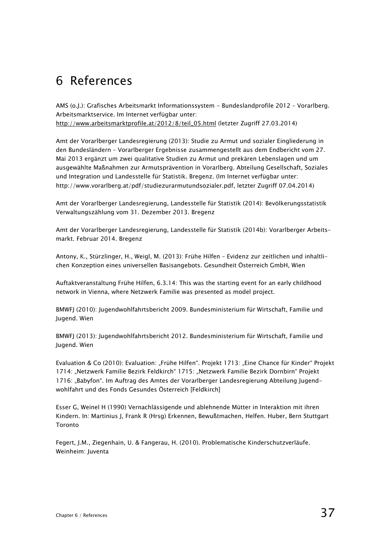## 6 References

AMS (o.J.): Grafisches Arbeitsmarkt Informationssystem - Bundeslandprofile 2012 – Vorarlberg. Arbeitsmarktservice. Im Internet verfügbar unter: http://www.arbeitsmarktprofile.at/2012/8/teil\_05.html (letzter Zugriff 27.03.2014)

Amt der Vorarlberger Landesregierung (2013): Studie zu Armut und sozialer Eingliederung in den Bundesländern – Vorarlberger Ergebnisse zusammengestellt aus dem Endbericht vom 27. Mai 2013 ergänzt um zwei qualitative Studien zu Armut und prekären Lebenslagen und um ausgewählte Maßnahmen zur Armutsprävention in Vorarlberg. Abteilung Gesellschaft, Soziales und Integration und Landesstelle für Statistik. Bregenz. (Im Internet verfügbar unter: http://www.vorarlberg.at/pdf/studiezurarmutundsozialer.pdf, letzter Zugriff 07.04.2014)

Amt der Vorarlberger Landesregierung, Landesstelle für Statistik (2014): Bevölkerungsstatistik Verwaltungszählung vom 31. Dezember 2013. Bregenz

Amt der Vorarlberger Landesregierung, Landesstelle für Statistik (2014b): Vorarlberger Arbeitsmarkt. Februar 2014. Bregenz

Antony, K., Stürzlinger, H., Weigl, M. (2013): Frühe Hilfen – Evidenz zur zeitlichen und inhaltlichen Konzeption eines universellen Basisangebots. Gesundheit Österreich GmbH, Wien

Auftaktveranstaltung Frühe Hilfen, 6.3.14: This was the starting event for an early childhood network in Vienna, where Netzwerk Familie was presented as model project.

BMWFJ (2010): Jugendwohlfahrtsbericht 2009. Bundesministerium für Wirtschaft, Familie und Jugend. Wien

BMWFJ (2013): Jugendwohlfahrtsbericht 2012. Bundesministerium für Wirtschaft, Familie und Jugend. Wien

Evaluation & Co (2010): Evaluation: "Frühe Hilfen". Projekt 1713: "Eine Chance für Kinder" Projekt 1714: "Netzwerk Familie Bezirk Feldkirch" 1715: "Netzwerk Familie Bezirk Dornbirn" Projekt 1716: "Babyfon". Im Auftrag des Amtes der Vorarlberger Landesregierung Abteilung Jugendwohlfahrt und des Fonds Gesundes Österreich [Feldkirch]

Esser G, Weinel H (1990) Vernachlässigende und ablehnende Mütter in Interaktion mit ihren Kindern. In: Martinius J, Frank R (Hrsg) Erkennen, Bewußtmachen, Helfen. Huber, Bern Stuttgart Toronto

Fegert, J.M., Ziegenhain, U. & Fangerau, H. (2010). Problematische Kinderschutzverläufe. Weinheim: Juventa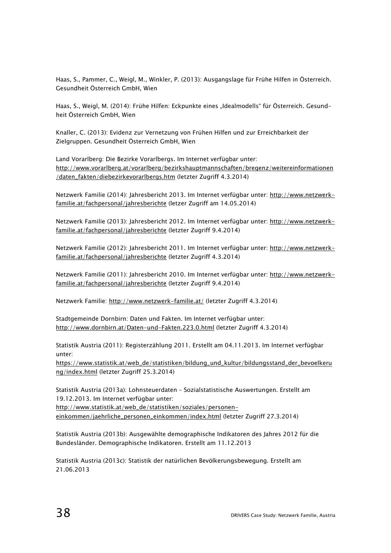Haas, S., Pammer, C., Weigl, M., Winkler, P. (2013): Ausgangslage für Frühe Hilfen in Österreich. Gesundheit Österreich GmbH, Wien

Haas, S., Weigl, M. (2014): Frühe Hilfen: Eckpunkte eines "Idealmodells" für Österreich. Gesundheit Österreich GmbH, Wien

Knaller, C. (2013): Evidenz zur Vernetzung von Frühen Hilfen und zur Erreichbarkeit der Zielgruppen. Gesundheit Österreich GmbH, Wien

Land Vorarlberg: Die Bezirke Vorarlbergs. Im Internet verfügbar unter: http://www.vorarlberg.at/vorarlberg/bezirkshauptmannschaften/bregenz/weitereinformationen /daten\_fakten/diebezirkevorarlbergs.htm (letzter Zugriff 4.3.2014)

Netzwerk Familie (2014): Jahresbericht 2013. Im Internet verfügbar unter: http://www.netzwerkfamilie.at/fachpersonal/jahresberichte (letzer Zugriff am 14.05.2014)

Netzwerk Familie (2013): Jahresbericht 2012. Im Internet verfügbar unter: http://www.netzwerkfamilie.at/fachpersonal/jahresberichte (letzter Zugriff 9.4.2014)

Netzwerk Familie (2012): Jahresbericht 2011. Im Internet verfügbar unter: http://www.netzwerkfamilie.at/fachpersonal/jahresberichte (letzter Zugriff 4.3.2014)

Netzwerk Familie (2011): Jahresbericht 2010. Im Internet verfügbar unter: http://www.netzwerkfamilie.at/fachpersonal/jahresberichte (letzter Zugriff 9.4.2014)

Netzwerk Familie: http://www.netzwerk-familie.at/ (letzter Zugriff 4.3.2014)

Stadtgemeinde Dornbirn: Daten und Fakten. Im Internet verfügbar unter: http://www.dornbirn.at/Daten-und-Fakten.223.0.html (letzter Zugriff 4.3.2014)

Statistik Austria (2011): Registerzählung 2011. Erstellt am 04.11.2013. Im Internet verfügbar unter:

https://www.statistik.at/web\_de/statistiken/bildung\_und\_kultur/bildungsstand\_der\_bevoelkeru ng/index.html (letzter Zugriff 25.3.2014)

Statistik Austria (2013a): Lohnsteuerdaten – Sozialstatistische Auswertungen. Erstellt am 19.12.2013. Im Internet verfügbar unter: http://www.statistik.at/web\_de/statistiken/soziales/personeneinkommen/jaehrliche\_personen\_einkommen/index.html (letzter Zugriff 27.3.2014)

Statistik Austria (2013b): Ausgewählte demographische Indikatoren des Jahres 2012 für die Bundesländer. Demographische Indikatoren. Erstellt am 11.12.2013

Statistik Austria (2013c): Statistik der natürlichen Bevölkerungsbewegung. Erstellt am 21.06.2013